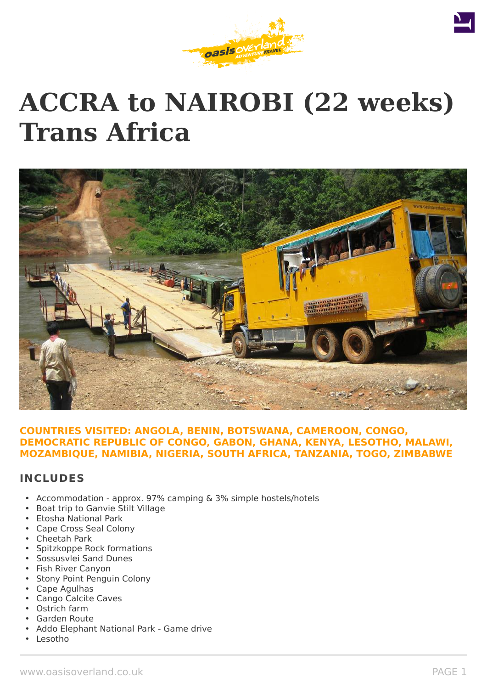

# **ACCRA to NAIROBI (22 weeks) Trans Africa**



# **COUNTRIES VISITED: ANGOLA, BENIN, BOTSWANA, CAMEROON, CONGO, DEMOCRATIC REPUBLIC OF CONGO, GABON, GHANA, KENYA, LESOTHO, MALAWI, MOZAMBIQUE, NAMIBIA, NIGERIA, SOUTH AFRICA, TANZANIA, TOGO, ZIMBABWE**

# **INCLUDES**

- Accommodation approx. 97% camping & 3% simple hostels/hotels
- Boat trip to Ganvie Stilt Village
- Etosha National Park
- Cape Cross Seal Colony
- Cheetah Park
- Spitzkoppe Rock formations
- Sossusvlei Sand Dunes
- Fish River Canyon
- Stony Point Penguin Colony
- Cape Agulhas
- Cango Calcite Caves
- Ostrich farm
- Garden Route
- Addo Elephant National Park Game drive
- Lesotho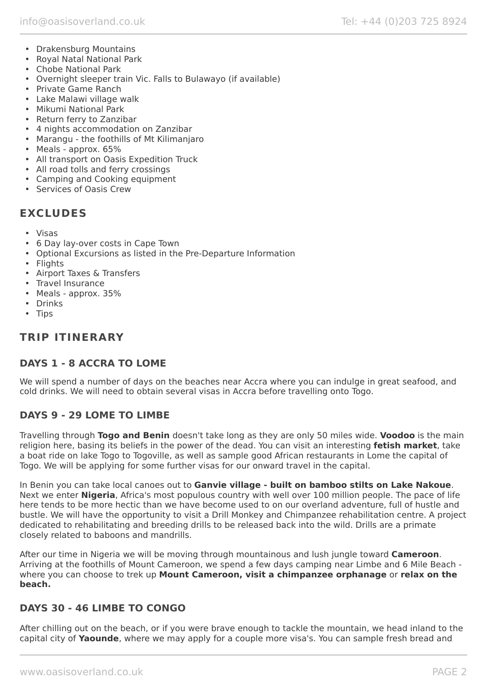- Drakensburg Mountains
- Royal Natal National Park
- Chobe National Park
- Overnight sleeper train Vic. Falls to Bulawayo (if available)
- Private Game Ranch
- Lake Malawi village walk
- Mikumi National Park
- Return ferry to Zanzibar
- 4 nights accommodation on Zanzibar
- Marangu the foothills of Mt Kilimanjaro
- Meals approx. 65%
- All transport on Oasis Expedition Truck
- All road tolls and ferry crossings
- Camping and Cooking equipment
- Services of Oasis Crew

# **EXCLUDES**

- Visas
- 6 Day lay-over costs in Cape Town
- Optional Excursions as listed in the Pre-Departure Information
- Flights
- Airport Taxes & Transfers
- Travel Insurance
- Meals approx. 35%
- Drinks
- Tips

# **TRIP ITINERARY**

# **DAYS 1 - 8 ACCRA TO LOME**

We will spend a number of days on the beaches near Accra where you can indulge in great seafood, and cold drinks. We will need to obtain several visas in Accra before travelling onto Togo.

# **DAYS 9 - 29 LOME TO LIMBE**

Travelling through **Togo and Benin** doesn't take long as they are only 50 miles wide. **Voodoo** is the main religion here, basing its beliefs in the power of the dead. You can visit an interesting **fetish market**, take a boat ride on lake Togo to Togoville, as well as sample good African restaurants in Lome the capital of Togo. We will be applying for some further visas for our onward travel in the capital.

In Benin you can take local canoes out to **Ganvie village - built on bamboo stilts on Lake Nakoue**. Next we enter **Nigeria**, Africa's most populous country with well over 100 million people. The pace of life here tends to be more hectic than we have become used to on our overland adventure, full of hustle and bustle. We will have the opportunity to visit a Drill Monkey and Chimpanzee rehabilitation centre. A project dedicated to rehabilitating and breeding drills to be released back into the wild. Drills are a primate closely related to baboons and mandrills.

After our time in Nigeria we will be moving through mountainous and lush jungle toward **Cameroon**. Arriving at the foothills of Mount Cameroon, we spend a few days camping near Limbe and 6 Mile Beach where you can choose to trek up **Mount Cameroon, visit a chimpanzee orphanage** or **relax on the beach.**

# **DAYS 30 - 46 LIMBE TO CONGO**

After chilling out on the beach, or if you were brave enough to tackle the mountain, we head inland to the capital city of **Yaounde**, where we may apply for a couple more visa's. You can sample fresh bread and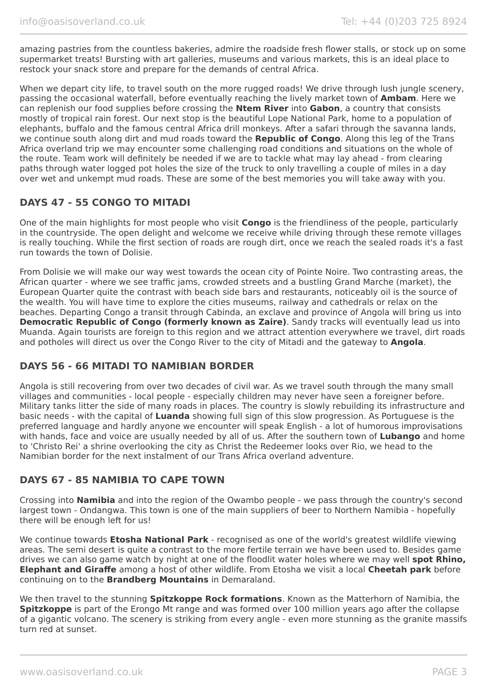amazing pastries from the countless bakeries, admire the roadside fresh flower stalls, or stock up on some supermarket treats! Bursting with art galleries, museums and various markets, this is an ideal place to restock your snack store and prepare for the demands of central Africa.

When we depart city life, to travel south on the more rugged roads! We drive through lush jungle scenery, passing the occasional waterfall, before eventually reaching the lively market town of **Ambam**. Here we can replenish our food supplies before crossing the **Ntem River** into **Gabon**, a country that consists mostly of tropical rain forest. Our next stop is the beautiful Lope National Park, home to a population of elephants, buffalo and the famous central Africa drill monkeys. After a safari through the savanna lands, we continue south along dirt and mud roads toward the **Republic of Congo**. Along this leg of the Trans Africa overland trip we may encounter some challenging road conditions and situations on the whole of the route. Team work will definitely be needed if we are to tackle what may lay ahead - from clearing paths through water logged pot holes the size of the truck to only travelling a couple of miles in a day over wet and unkempt mud roads. These are some of the best memories you will take away with you.

# **DAYS 47 - 55 CONGO TO MITADI**

One of the main highlights for most people who visit **Congo** is the friendliness of the people, particularly in the countryside. The open delight and welcome we receive while driving through these remote villages is really touching. While the first section of roads are rough dirt, once we reach the sealed roads it's a fast run towards the town of Dolisie.

From Dolisie we will make our way west towards the ocean city of Pointe Noire. Two contrasting areas, the African quarter - where we see traffic jams, crowded streets and a bustling Grand Marche (market), the European Quarter quite the contrast with beach side bars and restaurants, noticeably oil is the source of the wealth. You will have time to explore the cities museums, railway and cathedrals or relax on the beaches. Departing Congo a transit through Cabinda, an exclave and province of Angola will bring us into **Democratic Republic of Congo (formerly known as Zaire)**. Sandy tracks will eventually lead us into Muanda. Again tourists are foreign to this region and we attract attention everywhere we travel, dirt roads and potholes will direct us over the Congo River to the city of Mitadi and the gateway to **Angola**.

# **DAYS 56 - 66 MITADI TO NAMIBIAN BORDER**

Angola is still recovering from over two decades of civil war. As we travel south through the many small villages and communities - local people - especially children may never have seen a foreigner before. Military tanks litter the side of many roads in places. The country is slowly rebuilding its infrastructure and basic needs - with the capital of **Luanda** showing full sign of this slow progression. As Portuguese is the preferred language and hardly anyone we encounter will speak English - a lot of humorous improvisations with hands, face and voice are usually needed by all of us. After the southern town of **Lubango** and home to 'Christo Rei' a shrine overlooking the city as Christ the Redeemer looks over Rio, we head to the Namibian border for the next instalment of our Trans Africa overland adventure.

# **DAYS 67 - 85 NAMIBIA TO CAPE TOWN**

Crossing into **Namibia** and into the region of the Owambo people - we pass through the country's second largest town - Ondangwa. This town is one of the main suppliers of beer to Northern Namibia - hopefully there will be enough left for us!

We continue towards **Etosha National Park** - recognised as one of the world's greatest wildlife viewing areas. The semi desert is quite a contrast to the more fertile terrain we have been used to. Besides game drives we can also game watch by night at one of the floodlit water holes where we may well **spot Rhino, Elephant and Giraffe** among a host of other wildlife. From Etosha we visit a local **Cheetah park** before continuing on to the **Brandberg Mountains** in Demaraland.

We then travel to the stunning **Spitzkoppe Rock formations**. Known as the Matterhorn of Namibia, the **Spitzkoppe** is part of the Erongo Mt range and was formed over 100 million years ago after the collapse of a gigantic volcano. The scenery is striking from every angle - even more stunning as the granite massifs turn red at sunset.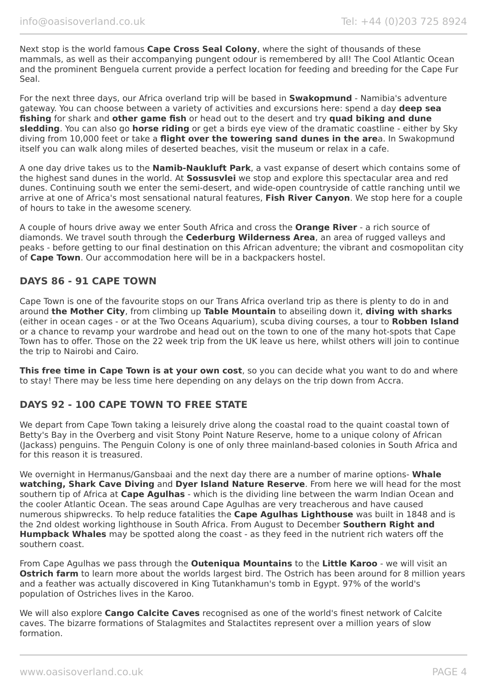Next stop is the world famous **Cape Cross Seal Colony**, where the sight of thousands of these mammals, as well as their accompanying pungent odour is remembered by all! The Cool Atlantic Ocean and the prominent Benguela current provide a perfect location for feeding and breeding for the Cape Fur Seal.

For the next three days, our Africa overland trip will be based in **Swakopmund** - Namibia's adventure gateway. You can choose between a variety of activities and excursions here: spend a day **deep sea fishing** for shark and **other game fish** or head out to the desert and try **quad biking and dune sledding**. You can also go **horse riding** or get a birds eye view of the dramatic coastline - either by Sky diving from 10,000 feet or take a **flight over the towering sand dunes in the are**a. In Swakopmund itself you can walk along miles of deserted beaches, visit the museum or relax in a cafe.

A one day drive takes us to the **Namib-Naukluft Park**, a vast expanse of desert which contains some of the highest sand dunes in the world. At **Sossusvlei** we stop and explore this spectacular area and red dunes. Continuing south we enter the semi-desert, and wide-open countryside of cattle ranching until we arrive at one of Africa's most sensational natural features, **Fish River Canyon**. We stop here for a couple of hours to take in the awesome scenery.

A couple of hours drive away we enter South Africa and cross the **Orange River** - a rich source of diamonds. We travel south through the **Cederburg Wilderness Area**, an area of rugged valleys and peaks - before getting to our final destination on this African adventure; the vibrant and cosmopolitan city of **Cape Town**. Our accommodation here will be in a backpackers hostel.

# **DAYS 86 - 91 CAPE TOWN**

Cape Town is one of the favourite stops on our Trans Africa overland trip as there is plenty to do in and around **the Mother City**, from climbing up **Table Mountain** to abseiling down it, **diving with sharks** (either in ocean cages - or at the Two Oceans Aquarium), scuba diving courses, a tour to **Robben Island** or a chance to revamp your wardrobe and head out on the town to one of the many hot-spots that Cape Town has to offer. Those on the 22 week trip from the UK leave us here, whilst others will join to continue the trip to Nairobi and Cairo.

**This free time in Cape Town is at your own cost**, so you can decide what you want to do and where to stay! There may be less time here depending on any delays on the trip down from Accra.

# **DAYS 92 - 100 CAPE TOWN TO FREE STATE**

We depart from Cape Town taking a leisurely drive along the coastal road to the quaint coastal town of Betty's Bay in the Overberg and visit Stony Point Nature Reserve, home to a unique colony of African (Jackass) penguins. The Penguin Colony is one of only three mainland-based colonies in South Africa and for this reason it is treasured.

We overnight in Hermanus/Gansbaai and the next day there are a number of marine options- **Whale watching, Shark Cave Diving** and **Dyer Island Nature Reserve**. From here we will head for the most southern tip of Africa at **Cape Agulhas** - which is the dividing line between the warm Indian Ocean and the cooler Atlantic Ocean. The seas around Cape Agulhas are very treacherous and have caused numerous shipwrecks. To help reduce fatalities the **Cape Agulhas Lighthouse** was built in 1848 and is the 2nd oldest working lighthouse in South Africa. From August to December **Southern Right and Humpback Whales** may be spotted along the coast - as they feed in the nutrient rich waters off the southern coast.

From Cape Agulhas we pass through the **Outeniqua Mountains** to the **Little Karoo** - we will visit an **Ostrich farm** to learn more about the worlds largest bird. The Ostrich has been around for 8 million years and a feather was actually discovered in King Tutankhamun's tomb in Egypt. 97% of the world's population of Ostriches lives in the Karoo.

We will also explore **Cango Calcite Caves** recognised as one of the world's finest network of Calcite caves. The bizarre formations of Stalagmites and Stalactites represent over a million years of slow formation.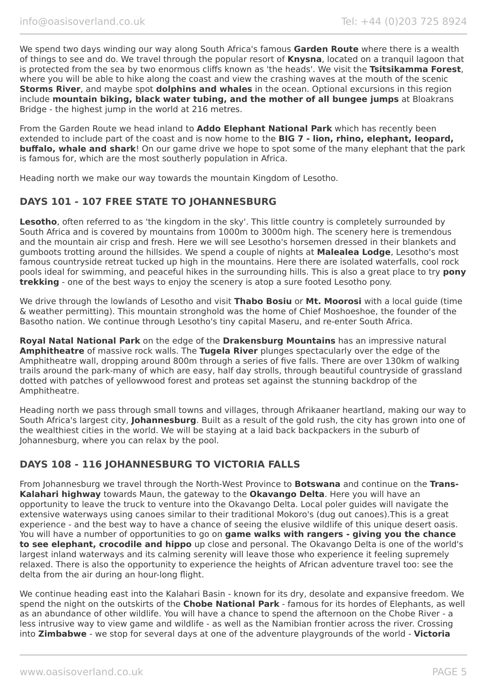We spend two days winding our way along South Africa's famous **Garden Route** where there is a wealth of things to see and do. We travel through the popular resort of **Knysna**, located on a tranquil lagoon that is protected from the sea by two enormous cliffs known as 'the heads'. We visit the **Tsitsikamma Forest**, where you will be able to hike along the coast and view the crashing waves at the mouth of the scenic **Storms River**, and maybe spot **dolphins and whales** in the ocean. Optional excursions in this region include **mountain biking, black water tubing, and the mother of all bungee jumps** at Bloakrans Bridge - the highest jump in the world at 216 metres.

From the Garden Route we head inland to **Addo Elephant National Park** which has recently been extended to include part of the coast and is now home to the **BIG 7 - lion, rhino, elephant, leopard, buffalo, whale and shark**! On our game drive we hope to spot some of the many elephant that the park is famous for, which are the most southerly population in Africa.

Heading north we make our way towards the mountain Kingdom of Lesotho.

# **DAYS 101 - 107 FREE STATE TO JOHANNESBURG**

Lesotho, often referred to as 'the kingdom in the sky'. This little country is completely surrounded by South Africa and is covered by mountains from 1000m to 3000m high. The scenery here is tremendous and the mountain air crisp and fresh. Here we will see Lesotho's horsemen dressed in their blankets and gumboots trotting around the hillsides. We spend a couple of nights at **Malealea Lodge**, Lesotho's most famous countryside retreat tucked up high in the mountains. Here there are isolated waterfalls, cool rock pools ideal for swimming, and peaceful hikes in the surrounding hills. This is also a great place to try **pony trekking** - one of the best ways to enjoy the scenery is atop a sure footed Lesotho pony.

We drive through the lowlands of Lesotho and visit **Thabo Bosiu** or **Mt. Moorosi** with a local guide (time & weather permitting). This mountain stronghold was the home of Chief Moshoeshoe, the founder of the Basotho nation. We continue through Lesotho's tiny capital Maseru, and re-enter South Africa.

**Royal Natal National Park** on the edge of the **Drakensburg Mountains** has an impressive natural **Amphitheatre** of massive rock walls. The **Tugela River** plunges spectacularly over the edge of the Amphitheatre wall, dropping around 800m through a series of five falls. There are over 130km of walking trails around the park-many of which are easy, half day strolls, through beautiful countryside of grassland dotted with patches of yellowwood forest and proteas set against the stunning backdrop of the Amphitheatre.

Heading north we pass through small towns and villages, through Afrikaaner heartland, making our way to South Africa's largest city, **Johannesburg**. Built as a result of the gold rush, the city has grown into one of the wealthiest cities in the world. We will be staying at a laid back backpackers in the suburb of Johannesburg, where you can relax by the pool.

# **DAYS 108 - 116 JOHANNESBURG TO VICTORIA FALLS**

From Johannesburg we travel through the North-West Province to **Botswana** and continue on the **Trans-Kalahari highway** towards Maun, the gateway to the **Okavango Delta**. Here you will have an opportunity to leave the truck to venture into the Okavango Delta. Local poler guides will navigate the extensive waterways using canoes similar to their traditional Mokoro's (dug out canoes).This is a great experience - and the best way to have a chance of seeing the elusive wildlife of this unique desert oasis. You will have a number of opportunities to go on **game walks with rangers - giving you the chance to see elephant, crocodile and hippo** up close and personal. The Okavango Delta is one of the world's largest inland waterways and its calming serenity will leave those who experience it feeling supremely relaxed. There is also the opportunity to experience the heights of African adventure travel too: see the delta from the air during an hour-long flight.

We continue heading east into the Kalahari Basin - known for its dry, desolate and expansive freedom. We spend the night on the outskirts of the **Chobe National Park** - famous for its hordes of Elephants, as well as an abundance of other wildlife. You will have a chance to spend the afternoon on the Chobe River - a less intrusive way to view game and wildlife - as well as the Namibian frontier across the river. Crossing into **Zimbabwe** - we stop for several days at one of the adventure playgrounds of the world - **Victoria**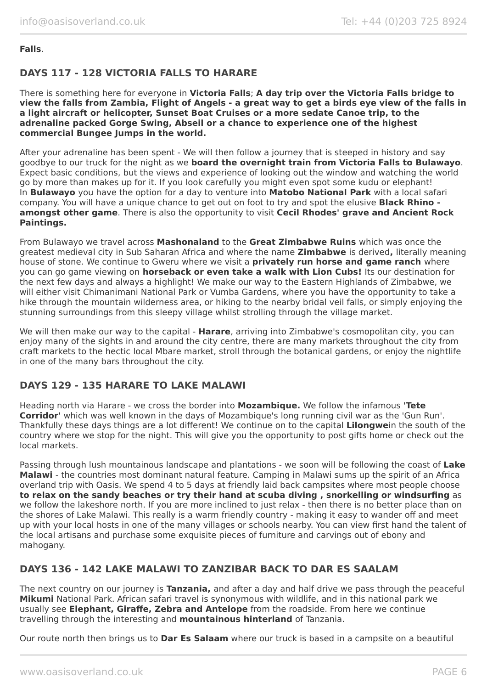#### **Falls**.

# **DAYS 117 - 128 VICTORIA FALLS TO HARARE**

There is something here for everyone in **Victoria Falls**; **A day trip over the Victoria Falls bridge to view the falls from Zambia, Flight of Angels - a great way to get a birds eye view of the falls in a light aircraft or helicopter, Sunset Boat Cruises or a more sedate Canoe trip, to the adrenaline packed Gorge Swing, Abseil or a chance to experience one of the highest commercial Bungee Jumps in the world.**

After your adrenaline has been spent - We will then follow a journey that is steeped in history and say goodbye to our truck for the night as we **board the overnight train from Victoria Falls to Bulawayo**. Expect basic conditions, but the views and experience of looking out the window and watching the world go by more than makes up for it. If you look carefully you might even spot some kudu or elephant! In **Bulawayo** you have the option for a day to venture into **Matobo National Park** with a local safari company. You will have a unique chance to get out on foot to try and spot the elusive **Black Rhino amongst other game**. There is also the opportunity to visit **Cecil Rhodes' grave and Ancient Rock Paintings.**

From Bulawayo we travel across **Mashonaland** to the **Great Zimbabwe Ruins** which was once the greatest medieval city in Sub Saharan Africa and where the name **Zimbabwe** is derived**,** literally meaning house of stone. We continue to Gweru where we visit a **privately run horse and game ranch** where you can go game viewing on **horseback or even take a walk with Lion Cubs!** Its our destination for the next few days and always a highlight! We make our way to the Eastern Highlands of Zimbabwe, we will either visit Chimanimani National Park or Vumba Gardens, where you have the opportunity to take a hike through the mountain wilderness area, or hiking to the nearby bridal veil falls, or simply enjoying the stunning surroundings from this sleepy village whilst strolling through the village market.

We will then make our way to the capital - **Harare**, arriving into Zimbabwe's cosmopolitan city, you can enjoy many of the sights in and around the city centre, there are many markets throughout the city from craft markets to the hectic local Mbare market, stroll through the botanical gardens, or enjoy the nightlife in one of the many bars throughout the city.

# **DAYS 129 - 135 HARARE TO LAKE MALAWI**

Heading north via Harare - we cross the border into **Mozambique.** We follow the infamous **'Tete Corridor'** which was well known in the days of Mozambique's long running civil war as the 'Gun Run'. Thankfully these days things are a lot different! We continue on to the capital **Lilongwe**in the south of the country where we stop for the night. This will give you the opportunity to post gifts home or check out the local markets.

Passing through lush mountainous landscape and plantations - we soon will be following the coast of **Lake Malawi** - the countries most dominant natural feature. Camping in Malawi sums up the spirit of an Africa overland trip with Oasis. We spend 4 to 5 days at friendly laid back campsites where most people choose **to relax on the sandy beaches or try their hand at scuba diving , snorkelling or windsurfing** as we follow the lakeshore north. If you are more inclined to just relax - then there is no better place than on the shores of Lake Malawi. This really is a warm friendly country - making it easy to wander off and meet up with your local hosts in one of the many villages or schools nearby. You can view first hand the talent of the local artisans and purchase some exquisite pieces of furniture and carvings out of ebony and mahogany.

# **DAYS 136 - 142 LAKE MALAWI TO ZANZIBAR BACK TO DAR ES SAALAM**

The next country on our journey is **Tanzania,** and after a day and half drive we pass through the peaceful **Mikumi** National Park. African safari travel is synonymous with wildlife, and in this national park we usually see **Elephant, Giraffe, Zebra and Antelope** from the roadside. From here we continue travelling through the interesting and **mountainous hinterland** of Tanzania.

Our route north then brings us to **Dar Es Salaam** where our truck is based in a campsite on a beautiful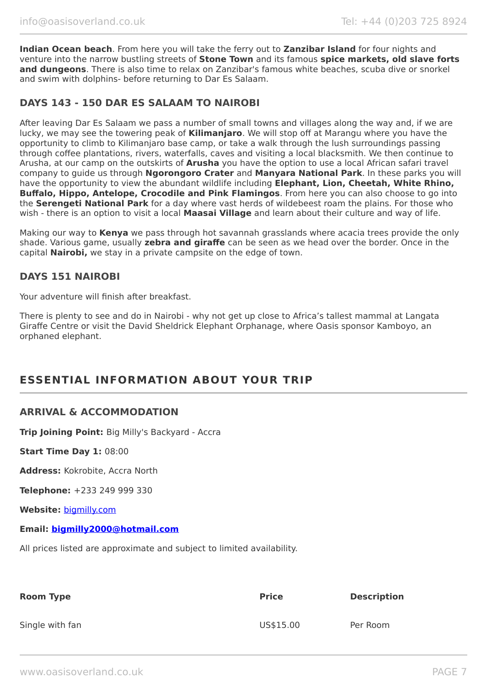**Indian Ocean beach**. From here you will take the ferry out to **Zanzibar Island** for four nights and venture into the narrow bustling streets of **Stone Town** and its famous **spice markets, old slave forts and dungeons**. There is also time to relax on Zanzibar's famous white beaches, scuba dive or snorkel and swim with dolphins- before returning to Dar Es Salaam.

# **DAYS 143 - 150 DAR ES SALAAM TO NAIROBI**

After leaving Dar Es Salaam we pass a number of small towns and villages along the way and, if we are lucky, we may see the towering peak of **Kilimanjaro**. We will stop off at Marangu where you have the opportunity to climb to Kilimanjaro base camp, or take a walk through the lush surroundings passing through coffee plantations, rivers, waterfalls, caves and visiting a local blacksmith. We then continue to Arusha, at our camp on the outskirts of **Arusha** you have the option to use a local African safari travel company to guide us through **Ngorongoro Crater** and **Manyara National Park**. In these parks you will have the opportunity to view the abundant wildlife including **Elephant, Lion, Cheetah, White Rhino, Buffalo, Hippo, Antelope, Crocodile and Pink Flamingos**. From here you can also choose to go into the **Serengeti National Park** for a day where vast herds of wildebeest roam the plains. For those who wish - there is an option to visit a local **Maasai Village** and learn about their culture and way of life.

Making our way to **Kenya** we pass through hot savannah grasslands where acacia trees provide the only shade. Various game, usually **zebra and giraffe** can be seen as we head over the border. Once in the capital **Nairobi,** we stay in a private campsite on the edge of town.

# **DAYS 151 NAIROBI**

Your adventure will finish after breakfast.

There is plenty to see and do in Nairobi - why not get up close to Africa's tallest mammal at Langata Giraffe Centre or visit the David Sheldrick Elephant Orphanage, where Oasis sponsor Kamboyo, an orphaned elephant.

# **ESSENTIAL INFORMATION ABOUT YOUR TRIP**

#### **ARRIVAL & ACCOMMODATION**

**Trip Joining Point:** Big Milly's Backyard - Accra

**Start Time Day 1:** 08:00

**Address:** Kokrobite, Accra North

**Telephone:** +233 249 999 330

**Website:** [bigmilly.com](https://bigmilly.com/)

**Email: [bigmilly2000@hotmail.com](mailto:bigmilly2000@hotmail.com)**

All prices listed are approximate and subject to limited availability.

| <b>Room Type</b> | <b>Price</b> | <b>Description</b> |
|------------------|--------------|--------------------|
| Single with fan  | US\$15.00    | Per Room           |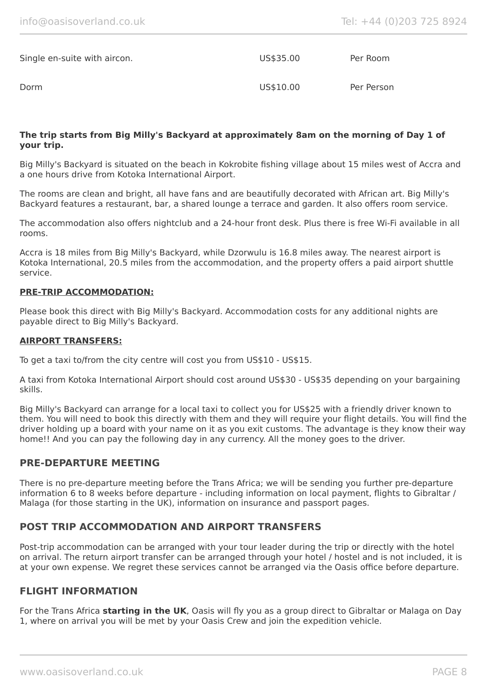| Single en-suite with aircon. | US\$35.00 | Per Room   |
|------------------------------|-----------|------------|
| Dorm                         | US\$10.00 | Per Person |

#### **The trip starts from Big Milly's Backyard at approximately 8am on the morning of Day 1 of your trip.**

Big Milly's Backyard is situated on the beach in Kokrobite fishing village about 15 miles west of Accra and a one hours drive from Kotoka International Airport.

The rooms are clean and bright, all have fans and are beautifully decorated with African art. Big Milly's Backyard features a restaurant, bar, a shared lounge a terrace and garden. It also offers room service.

The accommodation also offers nightclub and a 24-hour front desk. Plus there is free Wi-Fi available in all rooms.

Accra is 18 miles from Big Milly's Backyard, while Dzorwulu is 16.8 miles away. The nearest airport is Kotoka International, 20.5 miles from the accommodation, and the property offers a paid airport shuttle service.

#### **PRE-TRIP ACCOMMODATION:**

Please book this direct with Big Milly's Backyard. Accommodation costs for any additional nights are payable direct to Big Milly's Backyard.

#### **AIRPORT TRANSFERS:**

To get a taxi to/from the city centre will cost you from US\$10 - US\$15.

A taxi from Kotoka International Airport should cost around US\$30 - US\$35 depending on your bargaining skills.

Big Milly's Backyard can arrange for a local taxi to collect you for US\$25 with a friendly driver known to them. You will need to book this directly with them and they will require your flight details. You will find the driver holding up a board with your name on it as you exit customs. The advantage is they know their way home!! And you can pay the following day in any currency. All the money goes to the driver.

### **PRE-DEPARTURE MEETING**

There is no pre-departure meeting before the Trans Africa; we will be sending you further pre-departure information 6 to 8 weeks before departure - including information on local payment, flights to Gibraltar / Malaga (for those starting in the UK), information on insurance and passport pages.

#### **POST TRIP ACCOMMODATION AND AIRPORT TRANSFERS**

Post-trip accommodation can be arranged with your tour leader during the trip or directly with the hotel on arrival. The return airport transfer can be arranged through your hotel / hostel and is not included, it is at your own expense. We regret these services cannot be arranged via the Oasis office before departure.

#### **FLIGHT INFORMATION**

For the Trans Africa **starting in the UK**, Oasis will fly you as a group direct to Gibraltar or Malaga on Day 1, where on arrival you will be met by your Oasis Crew and join the expedition vehicle.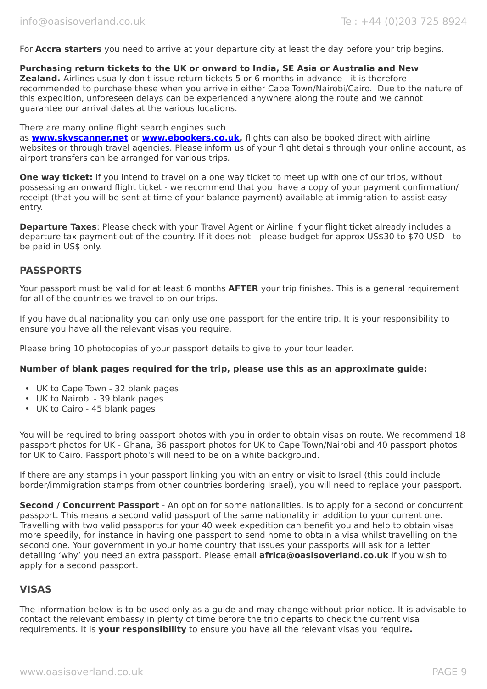For **Accra starters** you need to arrive at your departure city at least the day before your trip begins.

#### **Purchasing return tickets to the UK or onward to India, SE Asia or Australia and New**

**Zealand.** Airlines usually don't issue return tickets 5 or 6 months in advance - it is therefore recommended to purchase these when you arrive in either Cape Town/Nairobi/Cairo. Due to the nature of this expedition, unforeseen delays can be experienced anywhere along the route and we cannot guarantee our arrival dates at the various locations.

#### There are many online flight search engines such

as **[www.skyscanner.net](http://www.dpbolvw.net/click-5720161-10639348)** or **[www.ebookers.co.uk,](http://www.ebookers.co.uk/)** flights can also be booked direct with airline websites or through travel agencies. Please inform us of your flight details through your online account, as airport transfers can be arranged for various trips.

**One way ticket:** If you intend to travel on a one way ticket to meet up with one of our trips, without possessing an onward flight ticket - we recommend that you have a copy of your payment confirmation/ receipt (that you will be sent at time of your balance payment) available at immigration to assist easy entry.

**Departure Taxes**: Please check with your Travel Agent or Airline if your flight ticket already includes a departure tax payment out of the country. If it does not - please budget for approx US\$30 to \$70 USD - to be paid in US\$ only.

# **PASSPORTS**

Your passport must be valid for at least 6 months **AFTER** your trip finishes. This is a general requirement for all of the countries we travel to on our trips.

If you have dual nationality you can only use one passport for the entire trip. It is your responsibility to ensure you have all the relevant visas you require.

Please bring 10 photocopies of your passport details to give to your tour leader.

#### **Number of blank pages required for the trip, please use this as an approximate guide:**

- UK to Cape Town 32 blank pages
- UK to Nairobi 39 blank pages
- UK to Cairo 45 blank pages

You will be required to bring passport photos with you in order to obtain visas on route. We recommend 18 passport photos for UK - Ghana, 36 passport photos for UK to Cape Town/Nairobi and 40 passport photos for UK to Cairo. Passport photo's will need to be on a white background.

If there are any stamps in your passport linking you with an entry or visit to Israel (this could include border/immigration stamps from other countries bordering Israel), you will need to replace your passport.

**Second / Concurrent Passport** - An option for some nationalities, is to apply for a second or concurrent passport. This means a second valid passport of the same nationality in addition to your current one. Travelling with two valid passports for your 40 week expedition can benefit you and help to obtain visas more speedily, for instance in having one passport to send home to obtain a visa whilst travelling on the second one. Your government in your home country that issues your passports will ask for a letter detailing 'why' you need an extra passport. Please email **africa@oasisoverland.co.uk** if you wish to apply for a second passport.

# **VISAS**

The information below is to be used only as a guide and may change without prior notice. It is advisable to contact the relevant embassy in plenty of time before the trip departs to check the current visa requirements. It is **your responsibility** to ensure you have all the relevant visas you require**.**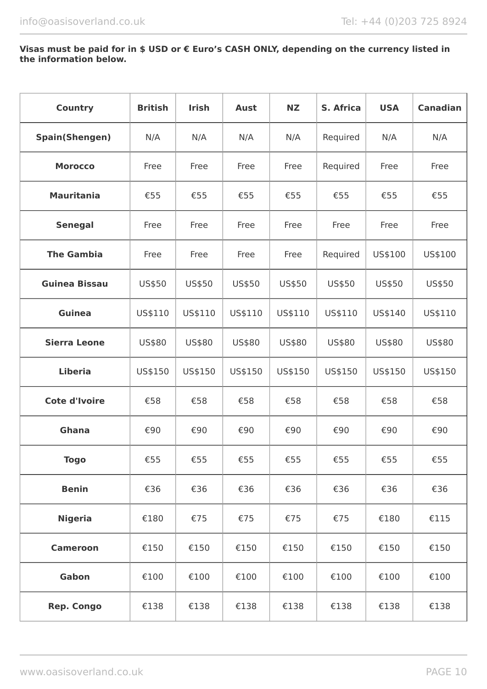#### **Visas must be paid for in \$ USD or € Euro's CASH ONLY, depending on the currency listed in the information below.**

| <b>Country</b>        | <b>British</b> | <b>Irish</b> | <b>Aust</b> | <b>NZ</b> | S. Africa | <b>USA</b> | <b>Canadian</b> |
|-----------------------|----------------|--------------|-------------|-----------|-----------|------------|-----------------|
| <b>Spain(Shengen)</b> | N/A            | N/A          | N/A         | N/A       | Required  | N/A        | N/A             |
| <b>Morocco</b>        | Free           | Free         | Free        | Free      | Required  | Free       | Free            |
| <b>Mauritania</b>     | €55            | €55          | €55         | €55       | €55       | €55        | €55             |
| <b>Senegal</b>        | Free           | Free         | Free        | Free      | Free      | Free       | Free            |
| <b>The Gambia</b>     | Free           | Free         | Free        | Free      | Required  | US\$100    | US\$100         |
| <b>Guinea Bissau</b>  | US\$50         | US\$50       | US\$50      | US\$50    | US\$50    | US\$50     | US\$50          |
| <b>Guinea</b>         | US\$110        | US\$110      | US\$110     | US\$110   | US\$110   | US\$140    | US\$110         |
| <b>Sierra Leone</b>   | US\$80         | US\$80       | US\$80      | US\$80    | US\$80    | US\$80     | US\$80          |
| <b>Liberia</b>        | US\$150        | US\$150      | US\$150     | US\$150   | US\$150   | US\$150    | US\$150         |
| <b>Cote d'Ivoire</b>  | €58            | €58          | €58         | €58       | €58       | €58        | €58             |
| Ghana                 | €90            | €90          | €90         | €90       | €90       | €90        | €90             |
| <b>Togo</b>           | €55            | €55          | €55         | €55       | €55       | €55        | €55             |
| <b>Benin</b>          | €36            | €36          | €36         | €36       | €36       | €36        | €36             |
| <b>Nigeria</b>        | €180           | €75          | €75         | €75       | €75       | €180       | €115            |
| <b>Cameroon</b>       | €150           | €150         | €150        | €150      | €150      | €150       | €150            |
| Gabon                 | €100           | €100         | €100        | €100      | €100      | €100       | €100            |
| <b>Rep. Congo</b>     | €138           | €138         | €138        | €138      | €138      | €138       | €138            |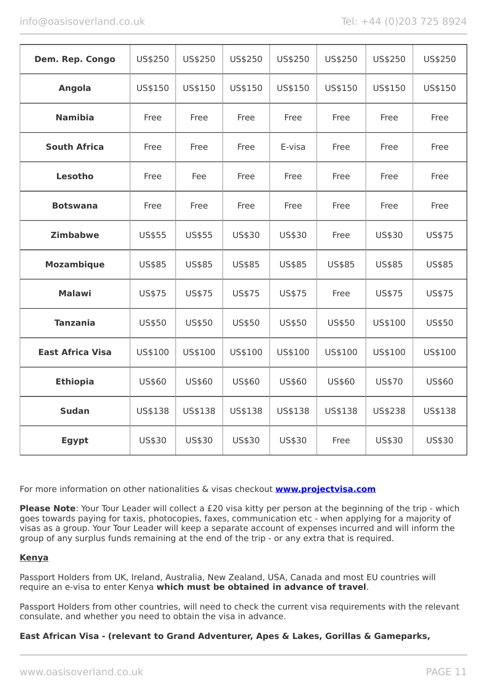| Dem. Rep. Congo         | US\$250 | US\$250 | US\$250 | US\$250 | US\$250 | US\$250 | US\$250 |
|-------------------------|---------|---------|---------|---------|---------|---------|---------|
| <b>Angola</b>           | US\$150 | US\$150 | US\$150 | US\$150 | US\$150 | US\$150 | US\$150 |
| <b>Namibia</b>          | Free    | Free    | Free    | Free    | Free    | Free    | Free    |
| <b>South Africa</b>     | Free    | Free    | Free    | E-visa  | Free    | Free    | Free    |
| <b>Lesotho</b>          | Free    | Fee     | Free    | Free    | Free    | Free    | Free    |
| <b>Botswana</b>         | Free    | Free    | Free    | Free    | Free    | Free    | Free    |
| <b>Zimbabwe</b>         | US\$55  | US\$55  | US\$30  | US\$30  | Free    | US\$30  | US\$75  |
| <b>Mozambique</b>       | US\$85  | US\$85  | US\$85  | US\$85  | US\$85  | US\$85  | US\$85  |
| <b>Malawi</b>           | US\$75  | US\$75  | US\$75  | US\$75  | Free    | US\$75  | US\$75  |
| <b>Tanzania</b>         | US\$50  | US\$50  | US\$50  | US\$50  | US\$50  | US\$100 | US\$50  |
| <b>East Africa Visa</b> | US\$100 | US\$100 | US\$100 | US\$100 | US\$100 | US\$100 | US\$100 |
| <b>Ethiopia</b>         | US\$60  | US\$60  | US\$60  | US\$60  | US\$60  | US\$70  | US\$60  |
| <b>Sudan</b>            | US\$138 | US\$138 | US\$138 | US\$138 | US\$138 | US\$238 | US\$138 |
| <b>Egypt</b>            | US\$30  | US\$30  | US\$30  | US\$30  | Free    | US\$30  | US\$30  |

For more information on other nationalities & visas checkout **[www.projectvisa.com](http://www.projectvisa.com/)**

**Please Note**: Your Tour Leader will collect a £20 visa kitty per person at the beginning of the trip - which goes towards paying for taxis, photocopies, faxes, communication etc - when applying for a majority of visas as a group. Your Tour Leader will keep a separate account of expenses incurred and will inform the group of any surplus funds remaining at the end of the trip - or any extra that is required.

#### **Kenya**

Passport Holders from UK, Ireland, Australia, New Zealand, USA, Canada and most EU countries will require an e-visa to enter Kenya **which must be obtained in advance of travel**.

Passport Holders from other countries, will need to check the current visa requirements with the relevant consulate, and whether you need to obtain the visa in advance.

#### **East African Visa - (relevant to Grand Adventurer, Apes & Lakes, Gorillas & Gameparks,**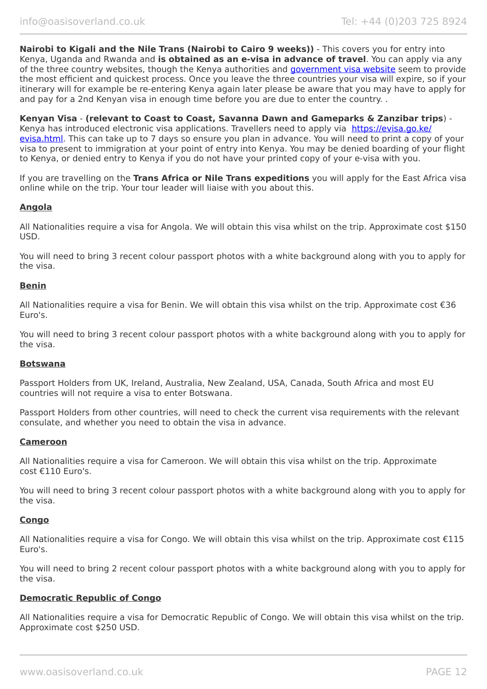**Nairobi to Kigali and the Nile Trans (Nairobi to Cairo 9 weeks))** - This covers you for entry into Kenya, Uganda and Rwanda and **is obtained as an e-visa in advance of travel**. You can apply via any of the three country websites, though the Kenya authorities and [government visa website](https://evisa.go.ke/evisa.html) seem to provide the most efficient and quickest process. Once you leave the three countries your visa will expire, so if your itinerary will for example be re-entering Kenya again later please be aware that you may have to apply for and pay for a 2nd Kenyan visa in enough time before you are due to enter the country. .

**Kenyan Visa** - **(relevant to Coast to Coast, Savanna Dawn and Gameparks & Zanzibar trips**) Kenya has introduced electronic visa applications. Travellers need to apply via [https://evisa.go.ke/](https://evisa.go.ke/evisa.html) [evisa.html](https://evisa.go.ke/evisa.html). This can take up to 7 days so ensure you plan in advance. You will need to print a copy of your visa to present to immigration at your point of entry into Kenya. You may be denied boarding of your flight to Kenya, or denied entry to Kenya if you do not have your printed copy of your e-visa with you.

If you are travelling on the **Trans Africa or Nile Trans expeditions** you will apply for the East Africa visa online while on the trip. Your tour leader will liaise with you about this.

#### **Angola**

All Nationalities require a visa for Angola. We will obtain this visa whilst on the trip. Approximate cost \$150 USD.

You will need to bring 3 recent colour passport photos with a white background along with you to apply for the visa.

#### **Benin**

All Nationalities require a visa for Benin. We will obtain this visa whilst on the trip. Approximate cost €36 Euro's.

You will need to bring 3 recent colour passport photos with a white background along with you to apply for the visa.

#### **Botswana**

Passport Holders from UK, Ireland, Australia, New Zealand, USA, Canada, South Africa and most EU countries will not require a visa to enter Botswana.

Passport Holders from other countries, will need to check the current visa requirements with the relevant consulate, and whether you need to obtain the visa in advance.

#### **Cameroon**

All Nationalities require a visa for Cameroon. We will obtain this visa whilst on the trip. Approximate cost €110 Euro's.

You will need to bring 3 recent colour passport photos with a white background along with you to apply for the visa.

#### **Congo**

All Nationalities require a visa for Congo. We will obtain this visa whilst on the trip. Approximate cost €115 Euro's.

You will need to bring 2 recent colour passport photos with a white background along with you to apply for the visa.

#### **Democratic Republic of Congo**

All Nationalities require a visa for Democratic Republic of Congo. We will obtain this visa whilst on the trip. Approximate cost \$250 USD.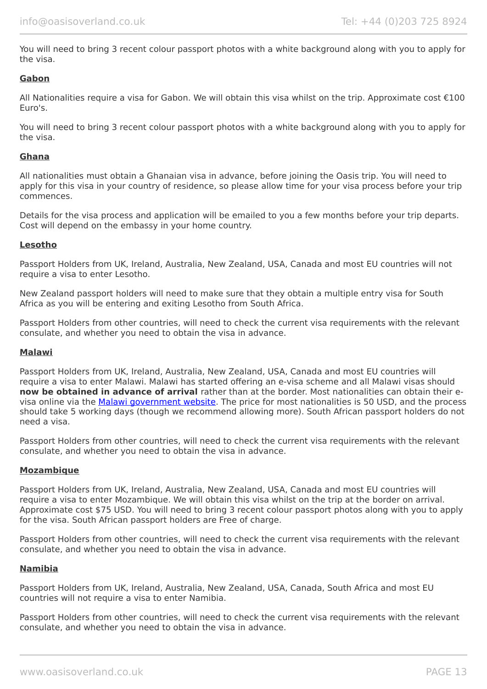You will need to bring 3 recent colour passport photos with a white background along with you to apply for the visa.

#### **Gabon**

All Nationalities require a visa for Gabon. We will obtain this visa whilst on the trip. Approximate cost €100 Euro's.

You will need to bring 3 recent colour passport photos with a white background along with you to apply for the visa.

#### **Ghana**

All nationalities must obtain a Ghanaian visa in advance, before joining the Oasis trip. You will need to apply for this visa in your country of residence, so please allow time for your visa process before your trip commences.

Details for the visa process and application will be emailed to you a few months before your trip departs. Cost will depend on the embassy in your home country.

#### **Lesotho**

Passport Holders from UK, Ireland, Australia, New Zealand, USA, Canada and most EU countries will not require a visa to enter Lesotho.

New Zealand passport holders will need to make sure that they obtain a multiple entry visa for South Africa as you will be entering and exiting Lesotho from South Africa.

Passport Holders from other countries, will need to check the current visa requirements with the relevant consulate, and whether you need to obtain the visa in advance.

#### **Malawi**

Passport Holders from UK, Ireland, Australia, New Zealand, USA, Canada and most EU countries will require a visa to enter Malawi. Malawi has started offering an e-visa scheme and all Malawi visas should **now be obtained in advance of arrival** rather than at the border. Most nationalities can obtain their evisa online via the [Malawi government website.](https://www.evisa.gov.mw/) The price for most nationalities is 50 USD, and the process should take 5 working days (though we recommend allowing more). South African passport holders do not need a visa.

Passport Holders from other countries, will need to check the current visa requirements with the relevant consulate, and whether you need to obtain the visa in advance.

#### **Mozambique**

Passport Holders from UK, Ireland, Australia, New Zealand, USA, Canada and most EU countries will require a visa to enter Mozambique. We will obtain this visa whilst on the trip at the border on arrival. Approximate cost \$75 USD. You will need to bring 3 recent colour passport photos along with you to apply for the visa. South African passport holders are Free of charge.

Passport Holders from other countries, will need to check the current visa requirements with the relevant consulate, and whether you need to obtain the visa in advance.

#### **Namibia**

Passport Holders from UK, Ireland, Australia, New Zealand, USA, Canada, South Africa and most EU countries will not require a visa to enter Namibia.

Passport Holders from other countries, will need to check the current visa requirements with the relevant consulate, and whether you need to obtain the visa in advance.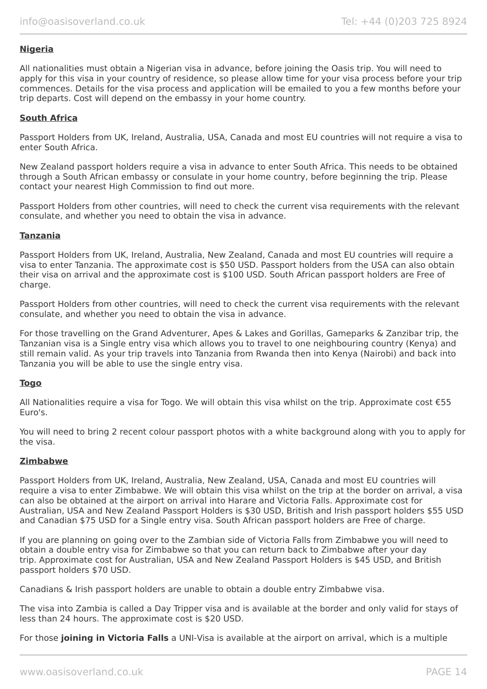#### **Nigeria**

All nationalities must obtain a Nigerian visa in advance, before joining the Oasis trip. You will need to apply for this visa in your country of residence, so please allow time for your visa process before your trip commences. Details for the visa process and application will be emailed to you a few months before your trip departs. Cost will depend on the embassy in your home country.

#### **South Africa**

Passport Holders from UK, Ireland, Australia, USA, Canada and most EU countries will not require a visa to enter South Africa.

New Zealand passport holders require a visa in advance to enter South Africa. This needs to be obtained through a South African embassy or consulate in your home country, before beginning the trip. Please contact your nearest High Commission to find out more.

Passport Holders from other countries, will need to check the current visa requirements with the relevant consulate, and whether you need to obtain the visa in advance.

#### **Tanzania**

Passport Holders from UK, Ireland, Australia, New Zealand, Canada and most EU countries will require a visa to enter Tanzania. The approximate cost is \$50 USD. Passport holders from the USA can also obtain their visa on arrival and the approximate cost is \$100 USD. South African passport holders are Free of charge.

Passport Holders from other countries, will need to check the current visa requirements with the relevant consulate, and whether you need to obtain the visa in advance.

For those travelling on the Grand Adventurer, Apes & Lakes and Gorillas, Gameparks & Zanzibar trip, the Tanzanian visa is a Single entry visa which allows you to travel to one neighbouring country (Kenya) and still remain valid. As your trip travels into Tanzania from Rwanda then into Kenya (Nairobi) and back into Tanzania you will be able to use the single entry visa.

#### **Togo**

All Nationalities require a visa for Togo. We will obtain this visa whilst on the trip. Approximate cost €55 Euro's.

You will need to bring 2 recent colour passport photos with a white background along with you to apply for the visa.

#### **Zimbabwe**

Passport Holders from UK, Ireland, Australia, New Zealand, USA, Canada and most EU countries will require a visa to enter Zimbabwe. We will obtain this visa whilst on the trip at the border on arrival, a visa can also be obtained at the airport on arrival into Harare and Victoria Falls. Approximate cost for Australian, USA and New Zealand Passport Holders is \$30 USD, British and Irish passport holders \$55 USD and Canadian \$75 USD for a Single entry visa. South African passport holders are Free of charge.

If you are planning on going over to the Zambian side of Victoria Falls from Zimbabwe you will need to obtain a double entry visa for Zimbabwe so that you can return back to Zimbabwe after your day trip. Approximate cost for Australian, USA and New Zealand Passport Holders is \$45 USD, and British passport holders \$70 USD.

Canadians & Irish passport holders are unable to obtain a double entry Zimbabwe visa.

The visa into Zambia is called a Day Tripper visa and is available at the border and only valid for stays of less than 24 hours. The approximate cost is \$20 USD.

For those **joining in Victoria Falls** a UNI-Visa is available at the airport on arrival, which is a multiple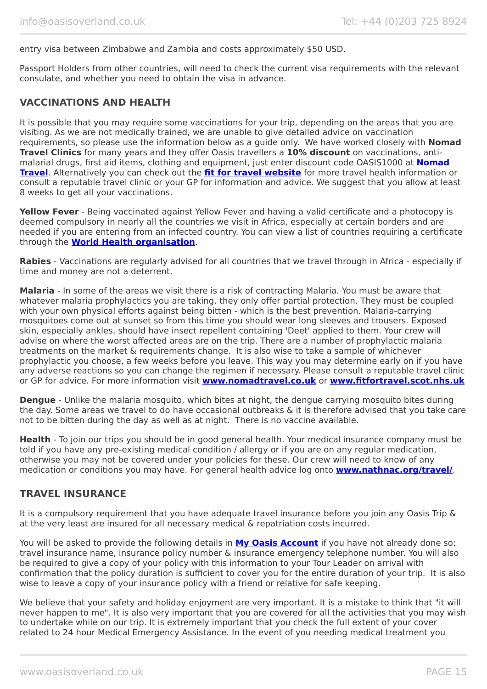#### entry visa between Zimbabwe and Zambia and costs approximately \$50 USD.

Passport Holders from other countries, will need to check the current visa requirements with the relevant consulate, and whether you need to obtain the visa in advance.

# **VACCINATIONS AND HEALTH**

It is possible that you may require some vaccinations for your trip, depending on the areas that you are visiting. As we are not medically trained, we are unable to give detailed advice on vaccination requirements, so please use the information below as a guide only. We have worked closely with **Nomad Travel Clinics** for many years and they offer Oasis travellers a **10% discount** on vaccinations, antimalarial drugs, first aid items, clothing and equipment, just enter discount code OASIS1000 at **[Nomad](http://www.nomadtravel.co.uk/) [Travel](http://www.nomadtravel.co.uk/)**. Alternatively you can check out the **[fit for travel website](https://www.fitfortravel.nhs.uk/home)** for more travel health information or consult a reputable travel clinic or your GP for information and advice. We suggest that you allow at least 8 weeks to get all your vaccinations.

**Yellow Fever** - Being vaccinated against Yellow Fever and having a valid certificate and a photocopy is deemed compulsory in nearly all the countries we visit in Africa, especially at certain borders and are needed if you are entering from an infected country. You can view a list of countries requiring a certificate through the **[World Health organisation](http://www.who.int/ith/ITH_country_list.pdf)**.

**Rabies** - Vaccinations are regularly advised for all countries that we travel through in Africa - especially if time and money are not a deterrent.

**Malaria** - In some of the areas we visit there is a risk of contracting Malaria. You must be aware that whatever malaria prophylactics you are taking, they only offer partial protection. They must be coupled with your own physical efforts against being bitten - which is the best prevention. Malaria-carrying mosquitoes come out at sunset so from this time you should wear long sleeves and trousers. Exposed skin, especially ankles, should have insect repellent containing 'Deet' applied to them. Your crew will advise on where the worst affected areas are on the trip. There are a number of prophylactic malaria treatments on the market & requirements change. It is also wise to take a sample of whichever prophylactic you choose, a few weeks before you leave. This way you may determine early on if you have any adverse reactions so you can change the regimen if necessary. Please consult a reputable travel clinic or GP for advice. For more information visit **[www.nomadtravel.co.uk](http://www.nomadtravel.co.uk/)** or **[www.fitfortravel.scot.nhs.uk](http://www.fitfortravel.scot.nhs.uk/)**

**Dengue** - Unlike the malaria mosquito, which bites at night, the dengue carrying mosquito bites during the day. Some areas we travel to do have occasional outbreaks & it is therefore advised that you take care not to be bitten during the day as well as at night. There is no vaccine available.

**Health** - To join our trips you should be in good general health. Your medical insurance company must be told if you have any pre-existing medical condition / allergy or if you are on any regular medication, otherwise you may not be covered under your policies for these. Our crew will need to know of any medication or conditions you may have. For general health advice log onto **[www.nathnac.org/travel/](http://www.nathnac.org/travel/)**.

#### **TRAVEL INSURANCE**

It is a compulsory requirement that you have adequate travel insurance before you join any Oasis Trip & at the very least are insured for all necessary medical & repatriation costs incurred.

You will be asked to provide the following details in **My [Oasis Account](https://oasisportal.eecsoftware.com/)** if you have not already done so: travel insurance name, insurance policy number & insurance emergency telephone number. You will also be required to give a copy of your policy with this information to your Tour Leader on arrival with confirmation that the policy duration is sufficient to cover you for the entire duration of your trip. It is also wise to leave a copy of your insurance policy with a friend or relative for safe keeping.

We believe that your safety and holiday enjoyment are very important. It is a mistake to think that "it will never happen to me". It is also very important that you are covered for all the activities that you may wish to undertake while on our trip. It is extremely important that you check the full extent of your cover related to 24 hour Medical Emergency Assistance. In the event of you needing medical treatment you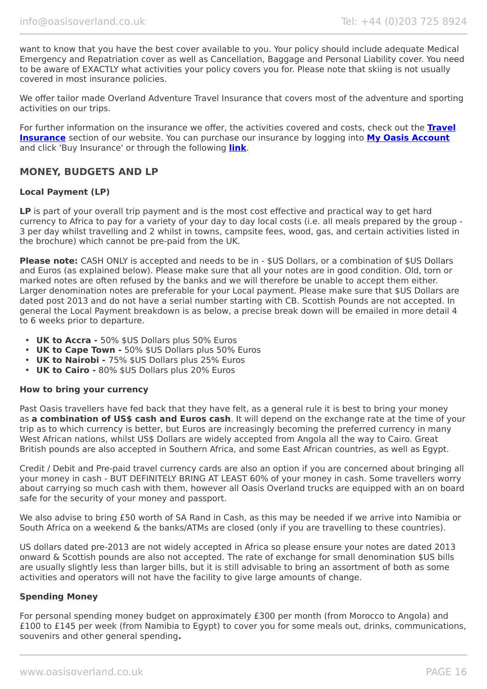want to know that you have the best cover available to you. Your policy should include adequate Medical Emergency and Repatriation cover as well as Cancellation, Baggage and Personal Liability cover. You need to be aware of EXACTLY what activities your policy covers you for. Please note that skiing is not usually covered in most insurance policies.

We offer tailor made Overland Adventure Travel Insurance that covers most of the adventure and sporting activities on our trips.

For further information on the insurance we offer, the activities covered and costs, check out the **[Travel](https://www.oasisoverland.co.uk/travel-insurance) [Insurance](https://www.oasisoverland.co.uk/travel-insurance)** section of our website. You can purchase our insurance by logging into **[My Oasis Account](https://oasisportal.eecsoftware.com/)** and click 'Buy Insurance' or through the following **[link](https://www.campbellirvinedirect.com/oasisoverland/)**.

# **MONEY, BUDGETS AND LP**

#### **Local Payment (LP)**

**LP** is part of your overall trip payment and is the most cost effective and practical way to get hard currency to Africa to pay for a variety of your day to day local costs (i.e. all meals prepared by the group - 3 per day whilst travelling and 2 whilst in towns, campsite fees, wood, gas, and certain activities listed in the brochure) which cannot be pre-paid from the UK.

**Please note:** CASH ONLY is accepted and needs to be in - \$US Dollars, or a combination of \$US Dollars and Euros (as explained below). Please make sure that all your notes are in good condition. Old, torn or marked notes are often refused by the banks and we will therefore be unable to accept them either. Larger denomination notes are preferable for your Local payment. Please make sure that \$US Dollars are dated post 2013 and do not have a serial number starting with CB. Scottish Pounds are not accepted. In general the Local Payment breakdown is as below, a precise break down will be emailed in more detail 4 to 6 weeks prior to departure.

- **UK to Accra -** 50% \$US Dollars plus 50% Euros
- **UK to Cape Town -** 50% \$US Dollars plus 50% Euros
- **UK to Nairobi -** 75% \$US Dollars plus 25% Euros
- **UK to Cairo -** 80% \$US Dollars plus 20% Euros

#### **How to bring your currency**

Past Oasis travellers have fed back that they have felt, as a general rule it is best to bring your money as **a combination of US\$ cash and Euros cash**. It will depend on the exchange rate at the time of your trip as to which currency is better, but Euros are increasingly becoming the preferred currency in many West African nations, whilst US\$ Dollars are widely accepted from Angola all the way to Cairo. Great British pounds are also accepted in Southern Africa, and some East African countries, as well as Egypt.

Credit / Debit and Pre-paid travel currency cards are also an option if you are concerned about bringing all your money in cash - BUT DEFINITELY BRING AT LEAST 60% of your money in cash. Some travellers worry about carrying so much cash with them, however all Oasis Overland trucks are equipped with an on board safe for the security of your money and passport.

We also advise to bring £50 worth of SA Rand in Cash, as this may be needed if we arrive into Namibia or South Africa on a weekend & the banks/ATMs are closed (only if you are travelling to these countries).

US dollars dated pre-2013 are not widely accepted in Africa so please ensure your notes are dated 2013 onward & Scottish pounds are also not accepted. The rate of exchange for small denomination \$US bills are usually slightly less than larger bills, but it is still advisable to bring an assortment of both as some activities and operators will not have the facility to give large amounts of change.

#### **Spending Money**

For personal spending money budget on approximately £300 per month (from Morocco to Angola) and £100 to £145 per week (from Namibia to Egypt) to cover you for some meals out, drinks, communications, souvenirs and other general spending**.**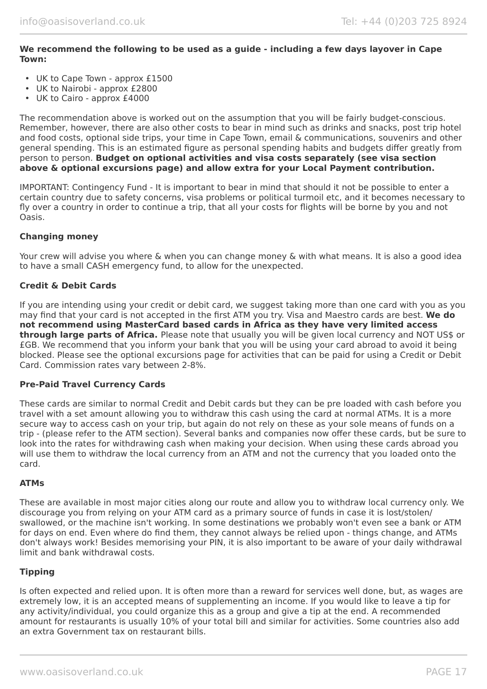#### **We recommend the following to be used as a guide - including a few days layover in Cape Town:**

- UK to Cape Town approx £1500
- UK to Nairobi approx £2800
- UK to Cairo approx £4000

The recommendation above is worked out on the assumption that you will be fairly budget-conscious. Remember, however, there are also other costs to bear in mind such as drinks and snacks, post trip hotel and food costs, optional side trips, your time in Cape Town, email & communications, souvenirs and other general spending. This is an estimated figure as personal spending habits and budgets differ greatly from person to person. **Budget on optional activities and visa costs separately (see visa section above & optional excursions page) and allow extra for your Local Payment contribution.**

IMPORTANT: Contingency Fund - It is important to bear in mind that should it not be possible to enter a certain country due to safety concerns, visa problems or political turmoil etc, and it becomes necessary to fly over a country in order to continue a trip, that all your costs for flights will be borne by you and not Oasis.

#### **Changing money**

Your crew will advise you where & when you can change money & with what means. It is also a good idea to have a small CASH emergency fund, to allow for the unexpected.

#### **Credit & Debit Cards**

If you are intending using your credit or debit card, we suggest taking more than one card with you as you may find that your card is not accepted in the first ATM you try. Visa and Maestro cards are best. **We do not recommend using MasterCard based cards in Africa as they have very limited access through large parts of Africa.** Please note that usually you will be given local currency and NOT US\$ or £GB. We recommend that you inform your bank that you will be using your card abroad to avoid it being blocked. Please see the optional excursions page for activities that can be paid for using a Credit or Debit Card. Commission rates vary between 2-8%.

#### **Pre-Paid Travel Currency Cards**

These cards are similar to normal Credit and Debit cards but they can be pre loaded with cash before you travel with a set amount allowing you to withdraw this cash using the card at normal ATMs. It is a more secure way to access cash on your trip, but again do not rely on these as your sole means of funds on a trip - (please refer to the ATM section). Several banks and companies now offer these cards, but be sure to look into the rates for withdrawing cash when making your decision. When using these cards abroad you will use them to withdraw the local currency from an ATM and not the currency that you loaded onto the card.

#### **ATMs**

These are available in most major cities along our route and allow you to withdraw local currency only. We discourage you from relying on your ATM card as a primary source of funds in case it is lost/stolen/ swallowed, or the machine isn't working. In some destinations we probably won't even see a bank or ATM for days on end. Even where do find them, they cannot always be relied upon - things change, and ATMs don't always work! Besides memorising your PIN, it is also important to be aware of your daily withdrawal limit and bank withdrawal costs.

#### **Tipping**

Is often expected and relied upon. It is often more than a reward for services well done, but, as wages are extremely low, it is an accepted means of supplementing an income. If you would like to leave a tip for any activity/individual, you could organize this as a group and give a tip at the end. A recommended amount for restaurants is usually 10% of your total bill and similar for activities. Some countries also add an extra Government tax on restaurant bills.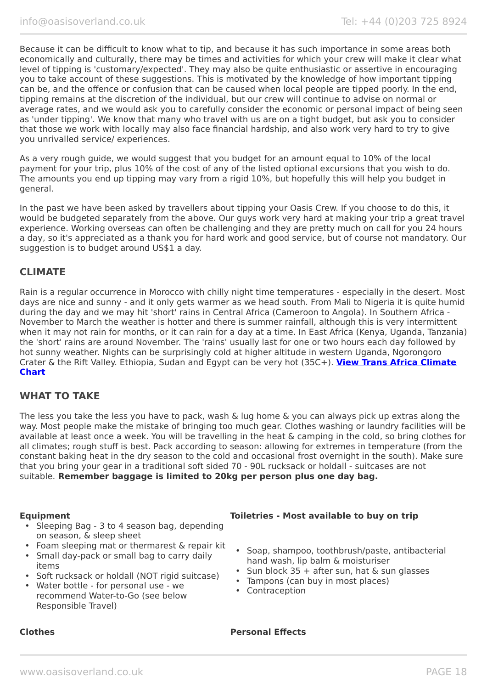Because it can be difficult to know what to tip, and because it has such importance in some areas both economically and culturally, there may be times and activities for which your crew will make it clear what level of tipping is 'customary/expected'. They may also be quite enthusiastic or assertive in encouraging you to take account of these suggestions. This is motivated by the knowledge of how important tipping can be, and the offence or confusion that can be caused when local people are tipped poorly. In the end, tipping remains at the discretion of the individual, but our crew will continue to advise on normal or average rates, and we would ask you to carefully consider the economic or personal impact of being seen as 'under tipping'. We know that many who travel with us are on a tight budget, but ask you to consider that those we work with locally may also face financial hardship, and also work very hard to try to give you unrivalled service/ experiences.

As a very rough guide, we would suggest that you budget for an amount equal to 10% of the local payment for your trip, plus 10% of the cost of any of the listed optional excursions that you wish to do. The amounts you end up tipping may vary from a rigid 10%, but hopefully this will help you budget in general.

In the past we have been asked by travellers about tipping your Oasis Crew. If you choose to do this, it would be budgeted separately from the above. Our guys work very hard at making your trip a great travel experience. Working overseas can often be challenging and they are pretty much on call for you 24 hours a day, so it's appreciated as a thank you for hard work and good service, but of course not mandatory. Our suggestion is to budget around US\$1 a day.

# **CLIMATE**

Rain is a regular occurrence in Morocco with chilly night time temperatures - especially in the desert. Most days are nice and sunny - and it only gets warmer as we head south. From Mali to Nigeria it is quite humid during the day and we may hit 'short' rains in Central Africa (Cameroon to Angola). In Southern Africa - November to March the weather is hotter and there is summer rainfall, although this is very intermittent when it may not rain for months, or it can rain for a day at a time. In East Africa (Kenya, Uganda, Tanzania) the 'short' rains are around November. The 'rains' usually last for one or two hours each day followed by hot sunny weather. Nights can be surprisingly cold at higher altitude in western Uganda, Ngorongoro Crater & the Rift Valley. Ethiopia, Sudan and Egypt can be very hot (35C+). **[View Trans Africa Climate](https://www.oasisoverland.co.uk/trans-africa-climate-chart) [Chart](https://www.oasisoverland.co.uk/trans-africa-climate-chart)**

#### **WHAT TO TAKE**

The less you take the less you have to pack, wash & lug home & you can always pick up extras along the way. Most people make the mistake of bringing too much gear. Clothes washing or laundry facilities will be available at least once a week. You will be travelling in the heat & camping in the cold, so bring clothes for all climates; rough stuff is best. Pack according to season: allowing for extremes in temperature (from the constant baking heat in the dry season to the cold and occasional frost overnight in the south). Make sure that you bring your gear in a traditional soft sided 70 - 90L rucksack or holdall - suitcases are not suitable. **Remember baggage is limited to 20kg per person plus one day bag.**

- Sleeping Bag 3 to 4 season bag, depending on season, & sleep sheet
- Foam sleeping mat or thermarest & repair kit
- Small day-pack or small bag to carry daily items
- Soft rucksack or holdall (NOT rigid suitcase)
- Water bottle for personal use we recommend Water-to-Go (see below Responsible Travel)

#### **Equipment Toiletries - Most available to buy on trip**

- Soap, shampoo, toothbrush/paste, antibacterial hand wash, lip balm & moisturiser
- Sun block 35 + after sun, hat & sun glasses
- Tampons (can buy in most places)
- Contraception

#### **Clothes Personal Effects**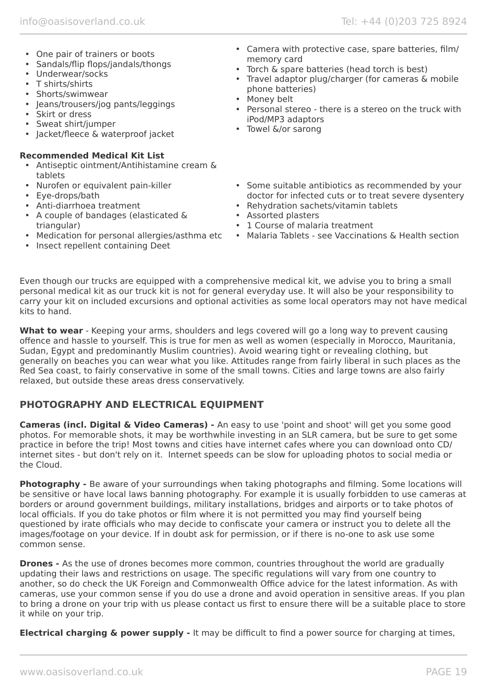- One pair of trainers or boots
- Sandals/flip flops/jandals/thongs
- Underwear/socks
- T shirts/shirts
- Shorts/swimwear
- Jeans/trousers/jog pants/leggings
- Skirt or dress
- Sweat shirt/jumper
- Jacket/fleece & waterproof jacket

#### **Recommended Medical Kit List**

- Antiseptic ointment/Antihistamine cream & tablets
- Nurofen or equivalent pain-killer
- Eye-drops/bath
- Anti-diarrhoea treatment
- A couple of bandages (elasticated & triangular)
- Medication for personal allergies/asthma etc
- Insect repellent containing Deet
- Camera with protective case, spare batteries, film/ memory card
- Torch & spare batteries (head torch is best)
- Travel adaptor plug/charger (for cameras & mobile phone batteries)
- Money belt
- Personal stereo there is a stereo on the truck with iPod/MP3 adaptors
- Towel &/or sarong
- Some suitable antibiotics as recommended by your doctor for infected cuts or to treat severe dysentery
- Rehydration sachets/vitamin tablets
- Assorted plasters
- 1 Course of malaria treatment
- Malaria Tablets see Vaccinations & Health section

Even though our trucks are equipped with a comprehensive medical kit, we advise you to bring a small personal medical kit as our truck kit is not for general everyday use. It will also be your responsibility to carry your kit on included excursions and optional activities as some local operators may not have medical kits to hand.

What to wear - Keeping your arms, shoulders and legs covered will go a long way to prevent causing offence and hassle to yourself. This is true for men as well as women (especially in Morocco, Mauritania, Sudan, Egypt and predominantly Muslim countries). Avoid wearing tight or revealing clothing, but generally on beaches you can wear what you like. Attitudes range from fairly liberal in such places as the Red Sea coast, to fairly conservative in some of the small towns. Cities and large towns are also fairly relaxed, but outside these areas dress conservatively.

# **PHOTOGRAPHY AND ELECTRICAL EQUIPMENT**

**Cameras (incl. Digital & Video Cameras) -** An easy to use 'point and shoot' will get you some good photos. For memorable shots, it may be worthwhile investing in an SLR camera, but be sure to get some practice in before the trip! Most towns and cities have internet cafes where you can download onto CD/ internet sites - but don't rely on it. Internet speeds can be slow for uploading photos to social media or the Cloud.

**Photography -** Be aware of your surroundings when taking photographs and filming. Some locations will be sensitive or have local laws banning photography. For example it is usually forbidden to use cameras at borders or around government buildings, military installations, bridges and airports or to take photos of local officials. If you do take photos or film where it is not permitted you may find yourself being questioned by irate officials who may decide to confiscate your camera or instruct you to delete all the images/footage on your device. If in doubt ask for permission, or if there is no-one to ask use some common sense.

**Drones -** As the use of drones becomes more common, countries throughout the world are gradually updating their laws and restrictions on usage. The specific regulations will vary from one country to another, so do check the UK Foreign and Commonwealth Office advice for the latest information. As with cameras, use your common sense if you do use a drone and avoid operation in sensitive areas. If you plan to bring a drone on your trip with us please contact us first to ensure there will be a suitable place to store it while on your trip.

**Electrical charging & power supply -** It may be difficult to find a power source for charging at times,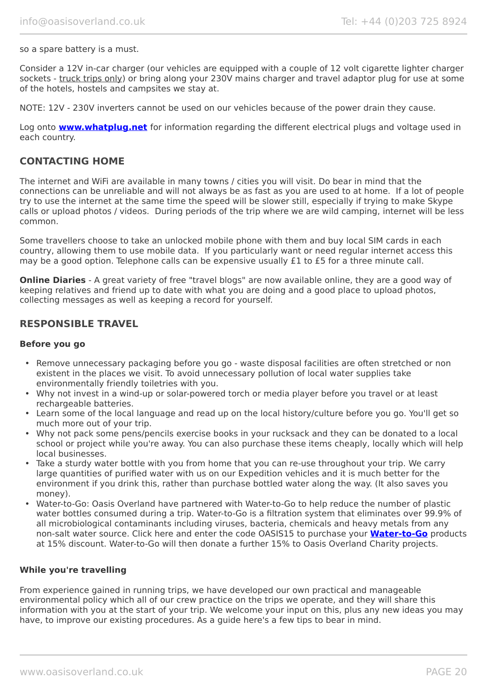#### so a spare battery is a must.

Consider a 12V in-car charger (our vehicles are equipped with a couple of 12 volt cigarette lighter charger sockets - truck trips only) or bring along your 230V mains charger and travel adaptor plug for use at some of the hotels, hostels and campsites we stay at.

NOTE: 12V - 230V inverters cannot be used on our vehicles because of the power drain they cause.

Log onto **[www.whatplug.net](http://www.whatplug.net/)** for information regarding the different electrical plugs and voltage used in each country.

#### **CONTACTING HOME**

The internet and WiFi are available in many towns / cities you will visit. Do bear in mind that the connections can be unreliable and will not always be as fast as you are used to at home. If a lot of people try to use the internet at the same time the speed will be slower still, especially if trying to make Skype calls or upload photos / videos. During periods of the trip where we are wild camping, internet will be less common.

Some travellers choose to take an unlocked mobile phone with them and buy local SIM cards in each country, allowing them to use mobile data. If you particularly want or need regular internet access this may be a good option. Telephone calls can be expensive usually £1 to £5 for a three minute call.

**Online Diaries** - A great variety of free "travel blogs" are now available online, they are a good way of keeping relatives and friend up to date with what you are doing and a good place to upload photos, collecting messages as well as keeping a record for yourself.

#### **RESPONSIBLE TRAVEL**

#### **Before you go**

- Remove unnecessary packaging before you go waste disposal facilities are often stretched or non existent in the places we visit. To avoid unnecessary pollution of local water supplies take environmentally friendly toiletries with you.
- Why not invest in a wind-up or solar-powered torch or media player before you travel or at least rechargeable batteries.
- Learn some of the local language and read up on the local history/culture before you go. You'll get so much more out of your trip.
- Why not pack some pens/pencils exercise books in your rucksack and they can be donated to a local school or project while you're away. You can also purchase these items cheaply, locally which will help local businesses.
- Take a sturdy water bottle with you from home that you can re-use throughout your trip. We carry large quantities of purified water with us on our Expedition vehicles and it is much better for the environment if you drink this, rather than purchase bottled water along the way. (It also saves you money).
- Water-to-Go: Oasis Overland have partnered with Water-to-Go to help reduce the number of plastic water bottles consumed during a trip. Water-to-Go is a filtration system that eliminates over 99.9% of all microbiological contaminants including viruses, bacteria, chemicals and heavy metals from any non-salt water source. Click here and enter the code OASIS15 to purchase your **[Water-to-Go](https://watertogo.eu/partnerships/oasisoverland/)** products at 15% discount. Water-to-Go will then donate a further 15% to Oasis Overland Charity projects.

#### **While you're travelling**

From experience gained in running trips, we have developed our own practical and manageable environmental policy which all of our crew practice on the trips we operate, and they will share this information with you at the start of your trip. We welcome your input on this, plus any new ideas you may have, to improve our existing procedures. As a guide here's a few tips to bear in mind.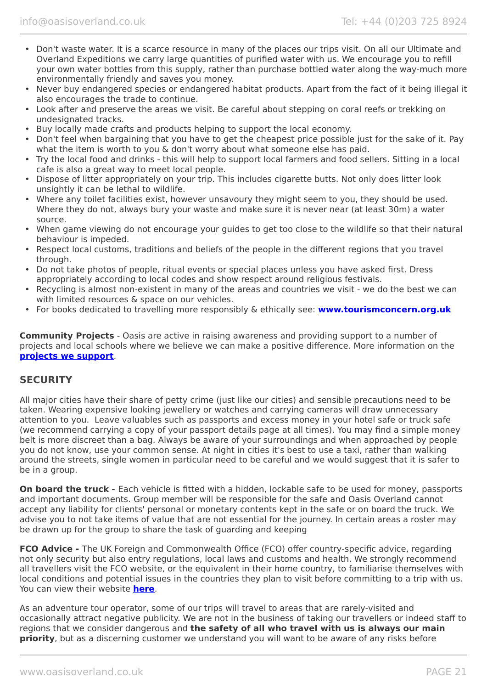- Don't waste water. It is a scarce resource in many of the places our trips visit. On all our Ultimate and Overland Expeditions we carry large quantities of purified water with us. We encourage you to refill your own water bottles from this supply, rather than purchase bottled water along the way-much more environmentally friendly and saves you money.
- Never buy endangered species or endangered habitat products. Apart from the fact of it being illegal it also encourages the trade to continue.
- Look after and preserve the areas we visit. Be careful about stepping on coral reefs or trekking on undesignated tracks.
- Buy locally made crafts and products helping to support the local economy.
- Don't feel when bargaining that you have to get the cheapest price possible just for the sake of it. Pay what the item is worth to you & don't worry about what someone else has paid.
- Try the local food and drinks this will help to support local farmers and food sellers. Sitting in a local cafe is also a great way to meet local people.
- Dispose of litter appropriately on your trip. This includes cigarette butts. Not only does litter look unsightly it can be lethal to wildlife.
- Where any toilet facilities exist, however unsavoury they might seem to you, they should be used. Where they do not, always bury your waste and make sure it is never near (at least 30m) a water source.
- When game viewing do not encourage your guides to get too close to the wildlife so that their natural behaviour is impeded.
- Respect local customs, traditions and beliefs of the people in the different regions that you travel through.
- Do not take photos of people, ritual events or special places unless you have asked first. Dress appropriately according to local codes and show respect around religious festivals.
- Recycling is almost non-existent in many of the areas and countries we visit we do the best we can with limited resources & space on our vehicles.
- For books dedicated to travelling more responsibly & ethically see: **[www.tourismconcern.org.uk](https://www.tourismconcern.org.uk/)**

**Community Projects** - Oasis are active in raising awareness and providing support to a number of projects and local schools where we believe we can make a positive difference. More information on the **[projects we support](https://www.oasisoverland.co.uk/responsible-travel/charities-we-support)**.

# **SECURITY**

All major cities have their share of petty crime (just like our cities) and sensible precautions need to be taken. Wearing expensive looking jewellery or watches and carrying cameras will draw unnecessary attention to you. Leave valuables such as passports and excess money in your hotel safe or truck safe (we recommend carrying a copy of your passport details page at all times). You may find a simple money belt is more discreet than a bag. Always be aware of your surroundings and when approached by people you do not know, use your common sense. At night in cities it's best to use a taxi, rather than walking around the streets, single women in particular need to be careful and we would suggest that it is safer to be in a group.

**On board the truck -** Each vehicle is fitted with a hidden, lockable safe to be used for money, passports and important documents. Group member will be responsible for the safe and Oasis Overland cannot accept any liability for clients' personal or monetary contents kept in the safe or on board the truck. We advise you to not take items of value that are not essential for the journey. In certain areas a roster may be drawn up for the group to share the task of guarding and keeping

**FCO Advice -** The UK Foreign and Commonwealth Office (FCO) offer country-specific advice, regarding not only security but also entry regulations, local laws and customs and health. We strongly recommend all travellers visit the FCO website, or the equivalent in their home country, to familiarise themselves with local conditions and potential issues in the countries they plan to visit before committing to a trip with us. You can view their website **[here](https://www.gov.uk/foreign-travel-advice)**.

As an adventure tour operator, some of our trips will travel to areas that are rarely-visited and occasionally attract negative publicity. We are not in the business of taking our travellers or indeed staff to regions that we consider dangerous and **the safety of all who travel with us is always our main priority**, but as a discerning customer we understand you will want to be aware of any risks before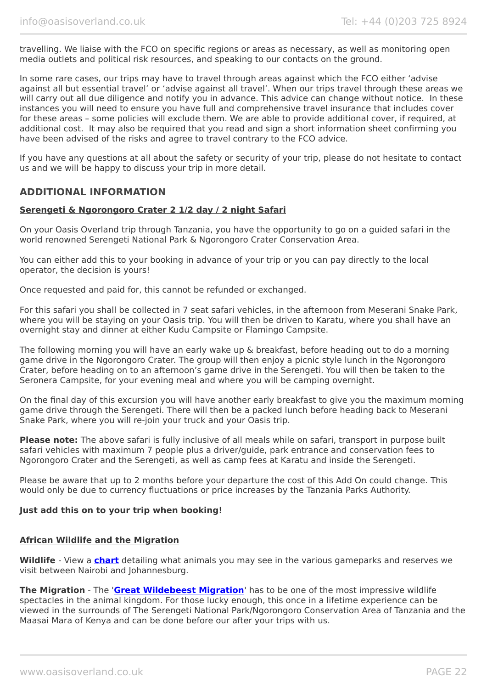travelling. We liaise with the FCO on specific regions or areas as necessary, as well as monitoring open media outlets and political risk resources, and speaking to our contacts on the ground.

In some rare cases, our trips may have to travel through areas against which the FCO either 'advise against all but essential travel' or 'advise against all travel'. When our trips travel through these areas we will carry out all due diligence and notify you in advance. This advice can change without notice. In these instances you will need to ensure you have full and comprehensive travel insurance that includes cover for these areas – some policies will exclude them. We are able to provide additional cover, if required, at additional cost. It may also be required that you read and sign a short information sheet confirming you have been advised of the risks and agree to travel contrary to the FCO advice.

If you have any questions at all about the safety or security of your trip, please do not hesitate to contact us and we will be happy to discuss your trip in more detail.

# **ADDITIONAL INFORMATION**

#### **Serengeti & Ngorongoro Crater 2 1/2 day / 2 night Safari**

On your Oasis Overland trip through Tanzania, you have the opportunity to go on a guided safari in the world renowned Serengeti National Park & Ngorongoro Crater Conservation Area.

You can either add this to your booking in advance of your trip or you can pay directly to the local operator, the decision is yours!

Once requested and paid for, this cannot be refunded or exchanged.

For this safari you shall be collected in 7 seat safari vehicles, in the afternoon from Meserani Snake Park, where you will be staying on your Oasis trip. You will then be driven to Karatu, where you shall have an overnight stay and dinner at either Kudu Campsite or Flamingo Campsite.

The following morning you will have an early wake up & breakfast, before heading out to do a morning game drive in the Ngorongoro Crater. The group will then enjoy a picnic style lunch in the Ngorongoro Crater, before heading on to an afternoon's game drive in the Serengeti. You will then be taken to the Seronera Campsite, for your evening meal and where you will be camping overnight.

On the final day of this excursion you will have another early breakfast to give you the maximum morning game drive through the Serengeti. There will then be a packed lunch before heading back to Meserani Snake Park, where you will re-join your truck and your Oasis trip.

**Please note:** The above safari is fully inclusive of all meals while on safari, transport in purpose built safari vehicles with maximum 7 people plus a driver/guide, park entrance and conservation fees to Ngorongoro Crater and the Serengeti, as well as camp fees at Karatu and inside the Serengeti.

Please be aware that up to 2 months before your departure the cost of this Add On could change. This would only be due to currency fluctuations or price increases by the Tanzania Parks Authority.

#### **Just add this on to your trip when booking!**

#### **African Wildlife and the Migration**

**Wildlife** - View a **[chart](https://www.oasisoverland.co.uk/african-wildlife-chart)** detailing what animals you may see in the various gameparks and reserves we visit between Nairobi and Johannesburg.

**The Migration** - The '**[Great Wildebeest Migration](https://www.oasisoverland.co.uk/the-great-wildebeest-migration)**' has to be one of the most impressive wildlife spectacles in the animal kingdom. For those lucky enough, this once in a lifetime experience can be viewed in the surrounds of The Serengeti National Park/Ngorongoro Conservation Area of Tanzania and the Maasai Mara of Kenya and can be done before our after your trips with us.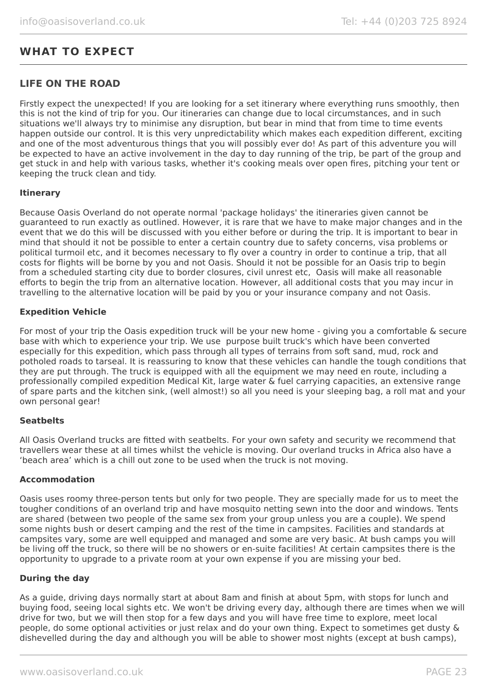# **WHAT TO EXPECT**

# **LIFE ON THE ROAD**

Firstly expect the unexpected! If you are looking for a set itinerary where everything runs smoothly, then this is not the kind of trip for you. Our itineraries can change due to local circumstances, and in such situations we'll always try to minimise any disruption, but bear in mind that from time to time events happen outside our control. It is this very unpredictability which makes each expedition different, exciting and one of the most adventurous things that you will possibly ever do! As part of this adventure you will be expected to have an active involvement in the day to day running of the trip, be part of the group and get stuck in and help with various tasks, whether it's cooking meals over open fires, pitching your tent or keeping the truck clean and tidy.

#### **Itinerary**

Because Oasis Overland do not operate normal 'package holidays' the itineraries given cannot be guaranteed to run exactly as outlined. However, it is rare that we have to make major changes and in the event that we do this will be discussed with you either before or during the trip. It is important to bear in mind that should it not be possible to enter a certain country due to safety concerns, visa problems or political turmoil etc, and it becomes necessary to fly over a country in order to continue a trip, that all costs for flights will be borne by you and not Oasis. Should it not be possible for an Oasis trip to begin from a scheduled starting city due to border closures, civil unrest etc, Oasis will make all reasonable efforts to begin the trip from an alternative location. However, all additional costs that you may incur in travelling to the alternative location will be paid by you or your insurance company and not Oasis.

#### **Expedition Vehicle**

For most of your trip the Oasis expedition truck will be your new home - giving you a comfortable & secure base with which to experience your trip. We use purpose built truck's which have been converted especially for this expedition, which pass through all types of terrains from soft sand, mud, rock and potholed roads to tarseal. It is reassuring to know that these vehicles can handle the tough conditions that they are put through. The truck is equipped with all the equipment we may need en route, including a professionally compiled expedition Medical Kit, large water & fuel carrying capacities, an extensive range of spare parts and the kitchen sink, (well almost!) so all you need is your sleeping bag, a roll mat and your own personal gear!

#### **Seatbelts**

All Oasis Overland trucks are fitted with seatbelts. For your own safety and security we recommend that travellers wear these at all times whilst the vehicle is moving. Our overland trucks in Africa also have a 'beach area' which is a chill out zone to be used when the truck is not moving.

#### **Accommodation**

Oasis uses roomy three-person tents but only for two people. They are specially made for us to meet the tougher conditions of an overland trip and have mosquito netting sewn into the door and windows. Tents are shared (between two people of the same sex from your group unless you are a couple). We spend some nights bush or desert camping and the rest of the time in campsites. Facilities and standards at campsites vary, some are well equipped and managed and some are very basic. At bush camps you will be living off the truck, so there will be no showers or en-suite facilities! At certain campsites there is the opportunity to upgrade to a private room at your own expense if you are missing your bed.

#### **During the day**

As a guide, driving days normally start at about 8am and finish at about 5pm, with stops for lunch and buying food, seeing local sights etc. We won't be driving every day, although there are times when we will drive for two, but we will then stop for a few days and you will have free time to explore, meet local people, do some optional activities or just relax and do your own thing. Expect to sometimes get dusty & dishevelled during the day and although you will be able to shower most nights (except at bush camps),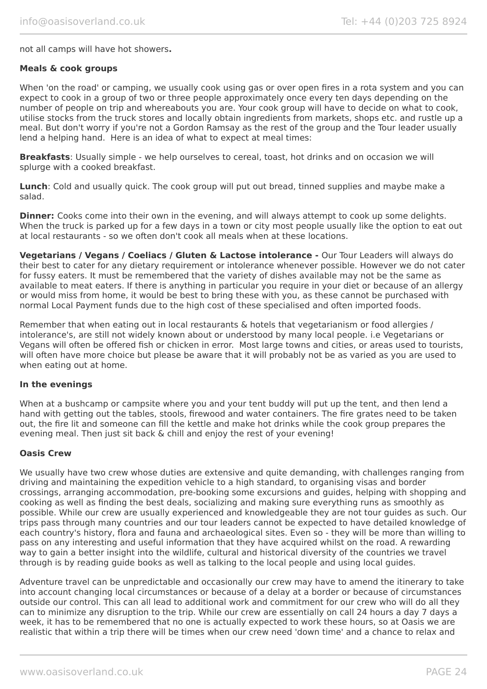#### not all camps will have hot showers**.**

#### **Meals & cook groups**

When 'on the road' or camping, we usually cook using gas or over open fires in a rota system and you can expect to cook in a group of two or three people approximately once every ten days depending on the number of people on trip and whereabouts you are. Your cook group will have to decide on what to cook, utilise stocks from the truck stores and locally obtain ingredients from markets, shops etc. and rustle up a meal. But don't worry if you're not a Gordon Ramsay as the rest of the group and the Tour leader usually lend a helping hand. Here is an idea of what to expect at meal times:

**Breakfasts**: Usually simple - we help ourselves to cereal, toast, hot drinks and on occasion we will splurge with a cooked breakfast.

**Lunch**: Cold and usually quick. The cook group will put out bread, tinned supplies and maybe make a salad.

**Dinner:** Cooks come into their own in the evening, and will always attempt to cook up some delights. When the truck is parked up for a few days in a town or city most people usually like the option to eat out at local restaurants - so we often don't cook all meals when at these locations.

**Vegetarians / Vegans / Coeliacs / Gluten & Lactose intolerance -** Our Tour Leaders will always do their best to cater for any dietary requirement or intolerance whenever possible. However we do not cater for fussy eaters. It must be remembered that the variety of dishes available may not be the same as available to meat eaters. If there is anything in particular you require in your diet or because of an allergy or would miss from home, it would be best to bring these with you, as these cannot be purchased with normal Local Payment funds due to the high cost of these specialised and often imported foods.

Remember that when eating out in local restaurants & hotels that vegetarianism or food allergies / intolerance's, are still not widely known about or understood by many local people. i.e Vegetarians or Vegans will often be offered fish or chicken in error. Most large towns and cities, or areas used to tourists, will often have more choice but please be aware that it will probably not be as varied as you are used to when eating out at home.

#### **In the evenings**

When at a bushcamp or campsite where you and your tent buddy will put up the tent, and then lend a hand with getting out the tables, stools, firewood and water containers. The fire grates need to be taken out, the fire lit and someone can fill the kettle and make hot drinks while the cook group prepares the evening meal. Then just sit back & chill and enjoy the rest of your evening!

#### **Oasis Crew**

We usually have two crew whose duties are extensive and quite demanding, with challenges ranging from driving and maintaining the expedition vehicle to a high standard, to organising visas and border crossings, arranging accommodation, pre-booking some excursions and guides, helping with shopping and cooking as well as finding the best deals, socializing and making sure everything runs as smoothly as possible. While our crew are usually experienced and knowledgeable they are not tour guides as such. Our trips pass through many countries and our tour leaders cannot be expected to have detailed knowledge of each country's history, flora and fauna and archaeological sites. Even so - they will be more than willing to pass on any interesting and useful information that they have acquired whilst on the road. A rewarding way to gain a better insight into the wildlife, cultural and historical diversity of the countries we travel through is by reading guide books as well as talking to the local people and using local guides.

Adventure travel can be unpredictable and occasionally our crew may have to amend the itinerary to take into account changing local circumstances or because of a delay at a border or because of circumstances outside our control. This can all lead to additional work and commitment for our crew who will do all they can to minimize any disruption to the trip. While our crew are essentially on call 24 hours a day 7 days a week, it has to be remembered that no one is actually expected to work these hours, so at Oasis we are realistic that within a trip there will be times when our crew need 'down time' and a chance to relax and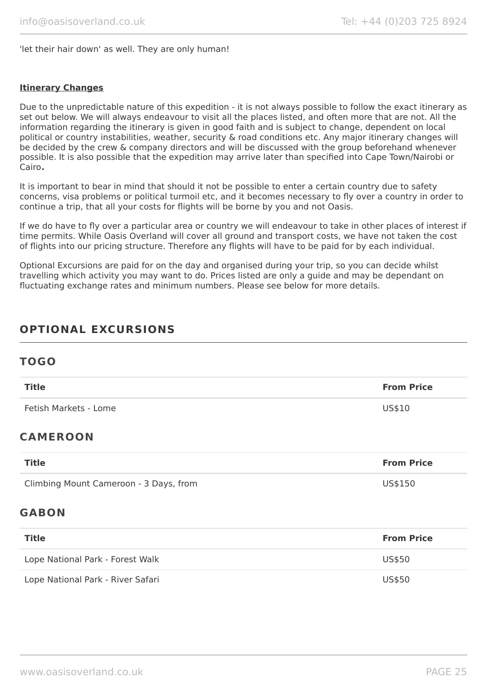'let their hair down' as well. They are only human!

#### **Itinerary Changes**

Due to the unpredictable nature of this expedition - it is not always possible to follow the exact itinerary as set out below. We will always endeavour to visit all the places listed, and often more that are not. All the information regarding the itinerary is given in good faith and is subject to change, dependent on local political or country instabilities, weather, security & road conditions etc. Any major itinerary changes will be decided by the crew & company directors and will be discussed with the group beforehand whenever possible. It is also possible that the expedition may arrive later than specified into Cape Town/Nairobi or Cairo**.**

It is important to bear in mind that should it not be possible to enter a certain country due to safety concerns, visa problems or political turmoil etc, and it becomes necessary to fly over a country in order to continue a trip, that all your costs for flights will be borne by you and not Oasis.

If we do have to fly over a particular area or country we will endeavour to take in other places of interest if time permits. While Oasis Overland will cover all ground and transport costs, we have not taken the cost of flights into our pricing structure. Therefore any flights will have to be paid for by each individual.

Optional Excursions are paid for on the day and organised during your trip, so you can decide whilst travelling which activity you may want to do. Prices listed are only a guide and may be dependant on fluctuating exchange rates and minimum numbers. Please see below for more details.

# **OPTIONAL EXCURSIONS**

# **TOGO**

| <b>Title</b>                           | <b>From Price</b> |
|----------------------------------------|-------------------|
| Fetish Markets - Lome                  | US\$10            |
| <b>CAMEROON</b>                        |                   |
| <b>Title</b>                           | <b>From Price</b> |
| Climbing Mount Cameroon - 3 Days, from | US\$150           |
| <b>GABON</b>                           |                   |
| <b>Title</b>                           | <b>From Price</b> |
| Lope National Park - Forest Walk       | US\$50            |
| Lope National Park - River Safari      | US\$50            |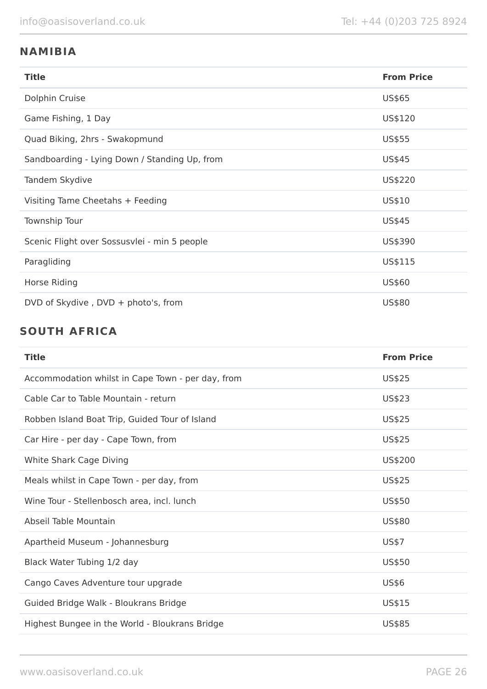# **NAMIBIA**

| <b>Title</b>                                  | <b>From Price</b> |
|-----------------------------------------------|-------------------|
| Dolphin Cruise                                | US\$65            |
| Game Fishing, 1 Day                           | US\$120           |
| Quad Biking, 2hrs - Swakopmund                | US\$55            |
| Sandboarding - Lying Down / Standing Up, from | US\$45            |
| Tandem Skydive                                | US\$220           |
| Visiting Tame Cheetahs + Feeding              | US\$10            |
| Township Tour                                 | US\$45            |
| Scenic Flight over Sossusvlei - min 5 people  | US\$390           |
| Paragliding                                   | US\$115           |
| Horse Riding                                  | US\$60            |
| DVD of Skydive, $DVD + photo's, from$         | US\$80            |

# **SOUTH AFRICA**

| <b>Title</b>                                      | <b>From Price</b> |
|---------------------------------------------------|-------------------|
| Accommodation whilst in Cape Town - per day, from | US\$25            |
| Cable Car to Table Mountain - return              | US\$23            |
| Robben Island Boat Trip, Guided Tour of Island    | US\$25            |
| Car Hire - per day - Cape Town, from              | US\$25            |
| White Shark Cage Diving                           | US\$200           |
| Meals whilst in Cape Town - per day, from         | US\$25            |
| Wine Tour - Stellenbosch area, incl. lunch        | US\$50            |
| Abseil Table Mountain                             | US\$80            |
| Apartheid Museum - Johannesburg                   | <b>US\$7</b>      |
| Black Water Tubing 1/2 day                        | US\$50            |
| Cango Caves Adventure tour upgrade                | US\$6             |
| Guided Bridge Walk - Bloukrans Bridge             | US\$15            |
| Highest Bungee in the World - Bloukrans Bridge    | US\$85            |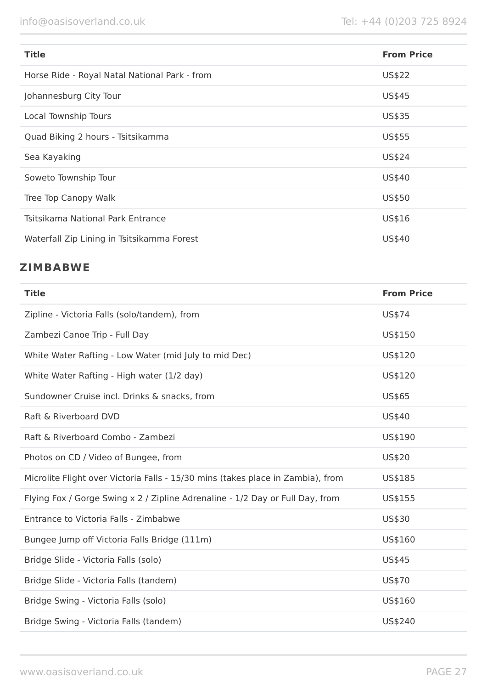| <b>Title</b>                                  | <b>From Price</b> |
|-----------------------------------------------|-------------------|
| Horse Ride - Royal Natal National Park - from | <b>US\$22</b>     |
| Johannesburg City Tour                        | US\$45            |
| Local Township Tours                          | US\$35            |
| Quad Biking 2 hours - Tsitsikamma             | US\$55            |
| Sea Kayaking                                  | US\$24            |
| Soweto Township Tour                          | US\$40            |
| Tree Top Canopy Walk                          | US\$50            |
| Tsitsikama National Park Entrance             | US\$16            |
| Waterfall Zip Lining in Tsitsikamma Forest    | US\$40            |

# **ZIMBABWE**

| <b>Title</b>                                                                    | <b>From Price</b> |
|---------------------------------------------------------------------------------|-------------------|
| Zipline - Victoria Falls (solo/tandem), from                                    | US\$74            |
| Zambezi Canoe Trip - Full Day                                                   | US\$150           |
| White Water Rafting - Low Water (mid July to mid Dec)                           | US\$120           |
| White Water Rafting - High water (1/2 day)                                      | US\$120           |
| Sundowner Cruise incl. Drinks & snacks, from                                    | US\$65            |
| Raft & Riverboard DVD                                                           | US\$40            |
| Raft & Riverboard Combo - Zambezi                                               | US\$190           |
| Photos on CD / Video of Bungee, from                                            | US\$20            |
| Microlite Flight over Victoria Falls - 15/30 mins (takes place in Zambia), from | US\$185           |
| Flying Fox / Gorge Swing x 2 / Zipline Adrenaline - 1/2 Day or Full Day, from   | US\$155           |
| Entrance to Victoria Falls - Zimbabwe                                           | US\$30            |
| Bungee Jump off Victoria Falls Bridge (111m)                                    | US\$160           |
| Bridge Slide - Victoria Falls (solo)                                            | US\$45            |
| Bridge Slide - Victoria Falls (tandem)                                          | US\$70            |
| Bridge Swing - Victoria Falls (solo)                                            | US\$160           |
| Bridge Swing - Victoria Falls (tandem)                                          | US\$240           |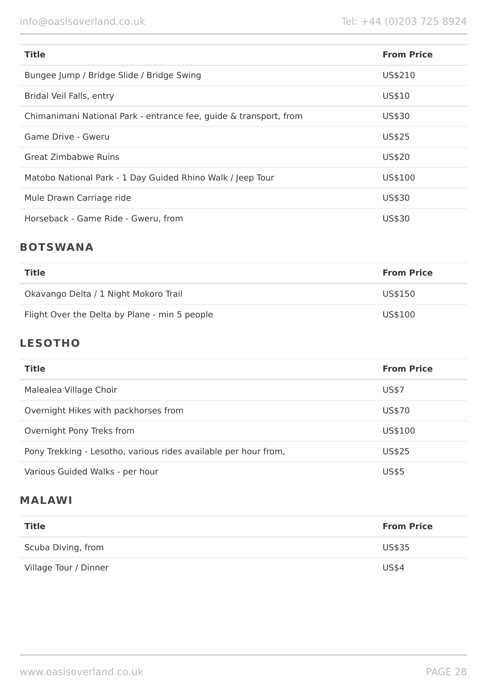| <b>Title</b>                                                      | <b>From Price</b> |
|-------------------------------------------------------------------|-------------------|
| Bungee Jump / Bridge Slide / Bridge Swing                         | US\$210           |
| Bridal Veil Falls, entry                                          | US\$10            |
| Chimanimani National Park - entrance fee, guide & transport, from | US\$30            |
| Game Drive - Gweru                                                | US\$25            |
| <b>Great Zimbabwe Ruins</b>                                       | US\$20            |
| Matobo National Park - 1 Day Guided Rhino Walk / Jeep Tour        | US\$100           |
| Mule Drawn Carriage ride                                          | US\$30            |
| Horseback - Game Ride - Gweru, from                               | US\$30            |

# **BOTSWANA**

| Title                                         | <b>From Price</b> |
|-----------------------------------------------|-------------------|
| Okavango Delta / 1 Night Mokoro Trail         | US\$150           |
| Flight Over the Delta by Plane - min 5 people | US\$100           |

# **LESOTHO**

| <b>Title</b>                                                    | <b>From Price</b> |
|-----------------------------------------------------------------|-------------------|
| Malealea Village Choir                                          | US\$7             |
| Overnight Hikes with packhorses from                            | US\$70            |
| Overnight Pony Treks from                                       | US\$100           |
| Pony Trekking - Lesotho, various rides available per hour from, | US\$25            |
| Various Guided Walks - per hour                                 | <b>US\$5</b>      |

# **MALAWI**

| <b>Title</b>          | <b>From Price</b> |
|-----------------------|-------------------|
| Scuba Diving, from    | US\$35            |
| Village Tour / Dinner | <b>US\$4</b>      |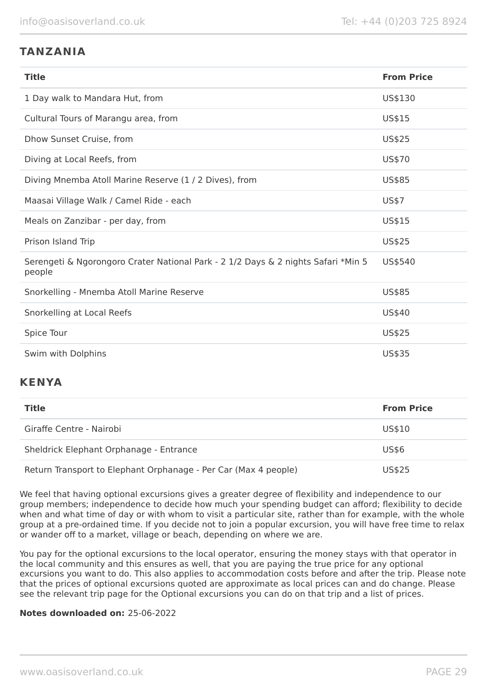# **TANZANIA**

| <b>Title</b>                                                                                | <b>From Price</b> |
|---------------------------------------------------------------------------------------------|-------------------|
| 1 Day walk to Mandara Hut, from                                                             | US\$130           |
| Cultural Tours of Marangu area, from                                                        | US\$15            |
| Dhow Sunset Cruise, from                                                                    | <b>US\$25</b>     |
| Diving at Local Reefs, from                                                                 | US\$70            |
| Diving Mnemba Atoll Marine Reserve (1 / 2 Dives), from                                      | US\$85            |
| Maasai Village Walk / Camel Ride - each                                                     | <b>US\$7</b>      |
| Meals on Zanzibar - per day, from                                                           | US\$15            |
| Prison Island Trip                                                                          | US\$25            |
| Serengeti & Ngorongoro Crater National Park - 2 1/2 Days & 2 nights Safari *Min 5<br>people | US\$540           |
| Snorkelling - Mnemba Atoll Marine Reserve                                                   | US\$85            |
| Snorkelling at Local Reefs                                                                  | US\$40            |
| Spice Tour                                                                                  | <b>US\$25</b>     |
| Swim with Dolphins                                                                          | <b>US\$35</b>     |

# **KENYA**

| <b>Title</b>                                                    | <b>From Price</b> |
|-----------------------------------------------------------------|-------------------|
| Giraffe Centre - Nairobi                                        | US\$10            |
| Sheldrick Elephant Orphanage - Entrance                         | US\$6             |
| Return Transport to Elephant Orphanage - Per Car (Max 4 people) | US\$25            |

We feel that having optional excursions gives a greater degree of flexibility and independence to our group members; independence to decide how much your spending budget can afford; flexibility to decide when and what time of day or with whom to visit a particular site, rather than for example, with the whole group at a pre-ordained time. If you decide not to join a popular excursion, you will have free time to relax or wander off to a market, village or beach, depending on where we are.

You pay for the optional excursions to the local operator, ensuring the money stays with that operator in the local community and this ensures as well, that you are paying the true price for any optional excursions you want to do. This also applies to accommodation costs before and after the trip. Please note that the prices of optional excursions quoted are approximate as local prices can and do change. Please see the relevant trip page for the Optional excursions you can do on that trip and a list of prices.

### **Notes downloaded on:** 25-06-2022